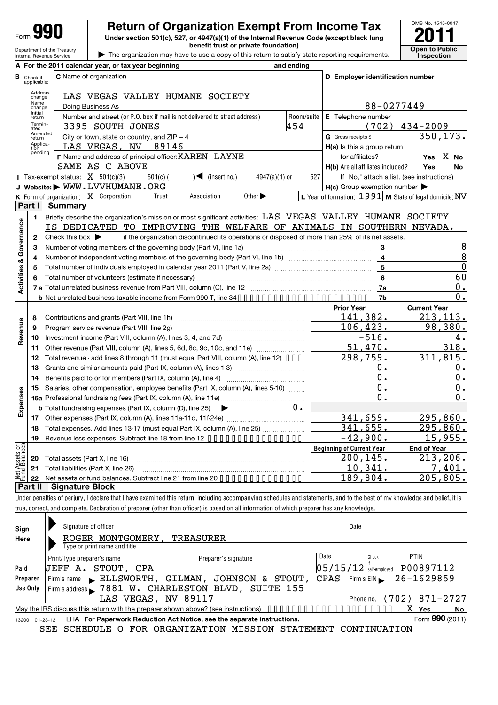Department of the Treasury

## **Return of Organization Exempt From Income Tax**

**Under section 501(c), 527, or 4947(a)(1) of the Internal Revenue Code (except black lung benefit trust or private foundation) Open to Public** 

| The organization may have to use a copy of this return to satisfy state reporting requirements.



|                                | Internal Revenue Service         |                                                                          | The organization may have to use a copy of this return to satisfy state reporting requirements.                                                                            |         |                                                                                                 |                 |            |                                   |                         | Inspection                                                |               |
|--------------------------------|----------------------------------|--------------------------------------------------------------------------|----------------------------------------------------------------------------------------------------------------------------------------------------------------------------|---------|-------------------------------------------------------------------------------------------------|-----------------|------------|-----------------------------------|-------------------------|-----------------------------------------------------------|---------------|
|                                |                                  |                                                                          | A For the 2011 calendar year, or tax year beginning                                                                                                                        |         |                                                                                                 |                 | and ending |                                   |                         |                                                           |               |
|                                | <b>B</b> Check if<br>applicable: |                                                                          | C Name of organization                                                                                                                                                     |         |                                                                                                 |                 |            |                                   |                         | D Employer identification number                          |               |
|                                | Address<br>change                |                                                                          | LAS VEGAS VALLEY HUMANE SOCIETY                                                                                                                                            |         |                                                                                                 |                 |            |                                   |                         |                                                           |               |
|                                | Name<br>change                   |                                                                          | Doing Business As                                                                                                                                                          |         |                                                                                                 |                 |            |                                   |                         | 88-0277449                                                |               |
|                                | Initial<br>return                |                                                                          | Number and street (or P.O. box if mail is not delivered to street address)                                                                                                 |         |                                                                                                 |                 | Room/suite | E Telephone number                |                         |                                                           |               |
|                                | Termin-                          |                                                                          | 3395 SOUTH JONES                                                                                                                                                           |         |                                                                                                 |                 | 454        |                                   | (702)                   | $434 - 2009$                                              |               |
|                                | ated<br>Amended<br>return        |                                                                          | City or town, state or country, and $ZIP + 4$                                                                                                                              |         |                                                                                                 |                 |            | G Gross receipts \$               |                         | 350, 173.                                                 |               |
|                                | Applica-<br>tion                 |                                                                          | LAS VEGAS, NV 89146                                                                                                                                                        |         |                                                                                                 |                 |            | $H(a)$ is this a group return     |                         |                                                           |               |
|                                | pending                          |                                                                          | F Name and address of principal officer: KAREN LAYNE                                                                                                                       |         |                                                                                                 |                 |            | for affiliates?                   |                         | Yes X No                                                  |               |
|                                |                                  |                                                                          | SAME AS C ABOVE                                                                                                                                                            |         |                                                                                                 |                 |            | H(b) Are all affiliates included? |                         | Yes<br>No                                                 |               |
|                                |                                  |                                                                          | Tax-exempt status: $X$ 501(c)(3)<br>$501(c)$ (                                                                                                                             |         | $\sqrt{\frac{1}{1}}$ (insert no.)                                                               | $4947(a)(1)$ or | 527        |                                   |                         | If "No," attach a list. (see instructions)                |               |
|                                |                                  |                                                                          | J Website: WWW.LVVHUMANE.ORG                                                                                                                                               |         |                                                                                                 |                 |            |                                   |                         | $H(c)$ Group exemption number $\blacktriangleright$       |               |
|                                |                                  |                                                                          | <b>K</b> Form of organization: $X$ Corporation<br>Trust                                                                                                                    |         | Association<br>Other $\blacktriangleright$                                                      |                 |            |                                   |                         | L Year of formation: $1991$ M State of legal domicile: NV |               |
|                                | Part I                           | <b>Summary</b>                                                           |                                                                                                                                                                            |         |                                                                                                 |                 |            |                                   |                         |                                                           |               |
|                                | 1                                |                                                                          | Briefly describe the organization's mission or most significant activities: LAS VEGAS VALLEY HUMANE SOCIETY                                                                |         |                                                                                                 |                 |            |                                   |                         |                                                           |               |
| Governance                     |                                  |                                                                          | IS DEDICATED TO IMPROVING THE WELFARE OF ANIMALS IN SOUTHERN NEVADA.                                                                                                       |         |                                                                                                 |                 |            |                                   |                         |                                                           |               |
|                                | $\mathbf{2}$                     | Check this box $\blacktriangleright$                                     |                                                                                                                                                                            |         | if the organization discontinued its operations or disposed of more than 25% of its net assets. |                 |            |                                   |                         |                                                           |               |
|                                | З                                |                                                                          | Number of voting members of the governing body (Part VI, line 1a)                                                                                                          |         |                                                                                                 |                 |            |                                   | $\overline{\mathbf{3}}$ |                                                           | $\frac{8}{8}$ |
|                                | 4                                |                                                                          |                                                                                                                                                                            |         |                                                                                                 |                 |            |                                   | $\overline{\mathbf{4}}$ |                                                           |               |
|                                | 5                                |                                                                          |                                                                                                                                                                            |         |                                                                                                 |                 |            |                                   | $\overline{5}$          |                                                           | $\mathbf 0$   |
|                                | 6                                |                                                                          |                                                                                                                                                                            |         |                                                                                                 |                 |            |                                   | $6\phantom{1}6$         | 60                                                        |               |
| <b>Activities &amp;</b>        |                                  |                                                                          |                                                                                                                                                                            |         |                                                                                                 |                 |            |                                   | 7a                      | 0.                                                        |               |
|                                |                                  |                                                                          |                                                                                                                                                                            |         |                                                                                                 |                 |            |                                   | 7b                      | 0.                                                        |               |
|                                |                                  |                                                                          |                                                                                                                                                                            |         |                                                                                                 |                 |            | <b>Prior Year</b>                 |                         | <b>Current Year</b>                                       |               |
|                                | 8                                |                                                                          |                                                                                                                                                                            |         |                                                                                                 |                 |            |                                   | 141,382.                | 213, 113.                                                 |               |
| Revenue                        | 9                                |                                                                          | Program service revenue (Part VIII, line 2g)                                                                                                                               |         |                                                                                                 | 106, 423.       |            | 98,380.                           |                         |                                                           |               |
|                                | 10                               |                                                                          |                                                                                                                                                                            |         |                                                                                                 |                 |            | $-516.$                           | 4.                      |                                                           |               |
|                                | 11                               | Other revenue (Part VIII, column (A), lines 5, 6d, 8c, 9c, 10c, and 11e) |                                                                                                                                                                            |         |                                                                                                 |                 |            |                                   | 51,470.                 | 318.                                                      |               |
|                                | 12                               |                                                                          | Total revenue - add lines 8 through 11 (must equal Part VIII, column (A), line 12) •••                                                                                     |         |                                                                                                 |                 |            |                                   | 298,759.                | 311,815.                                                  |               |
|                                | 13                               |                                                                          | Grants and similar amounts paid (Part IX, column (A), lines 1-3)                                                                                                           |         |                                                                                                 |                 |            |                                   | 0.                      | 0.                                                        |               |
|                                | 14                               |                                                                          |                                                                                                                                                                            |         |                                                                                                 |                 | 0.         | 0.                                |                         |                                                           |               |
|                                | 15                               |                                                                          | Salaries, other compensation, employee benefits (Part IX, column (A), lines 5-10)                                                                                          |         |                                                                                                 |                 |            |                                   | 0.                      | 0.                                                        |               |
| Expenses                       |                                  |                                                                          |                                                                                                                                                                            |         |                                                                                                 |                 |            |                                   | 0.                      | 0.                                                        |               |
|                                |                                  |                                                                          | <b>b</b> Total fundraising expenses (Part IX, column (D), line $25$ )                                                                                                      |         |                                                                                                 |                 | $0$ .      |                                   |                         |                                                           |               |
|                                |                                  |                                                                          |                                                                                                                                                                            |         |                                                                                                 |                 |            |                                   | 341,659.                | 295,860.                                                  |               |
|                                |                                  |                                                                          | 18 Total expenses. Add lines 13-17 (must equal Part IX, column (A), line 25)                                                                                               |         |                                                                                                 |                 |            |                                   | 341,659.                | 295,860.                                                  |               |
|                                | 19                               |                                                                          | Revenue less expenses. Subtract line 18 from line 12                                                                                                                       |         |                                                                                                 |                 |            |                                   | $-42,900$ .             | 15,955.                                                   |               |
| Net Assets or<br>Fund Balances |                                  |                                                                          |                                                                                                                                                                            |         |                                                                                                 |                 |            | <b>Beginning of Current Year</b>  |                         | <b>End of Year</b>                                        |               |
|                                | 20                               |                                                                          | Total assets (Part X, line 16)                                                                                                                                             |         |                                                                                                 |                 |            |                                   | 200,145.                | 213,206.                                                  |               |
|                                | 21                               |                                                                          | Total liabilities (Part X, line 26)                                                                                                                                        |         |                                                                                                 |                 |            |                                   | 10,341.                 | 7,401.                                                    |               |
|                                | 22                               |                                                                          | Net assets or fund balances. Subtract line 21 from line 20 • • • • • • • • • • • • • • •                                                                                   |         |                                                                                                 |                 |            |                                   | 189,804.                | 205,805.                                                  |               |
|                                | Part II                          | <b>Signature Block</b>                                                   |                                                                                                                                                                            |         |                                                                                                 |                 |            |                                   |                         |                                                           |               |
|                                |                                  |                                                                          | Under penalties of perjury, I declare that I have examined this return, including accompanying schedules and statements, and to the best of my knowledge and belief, it is |         |                                                                                                 |                 |            |                                   |                         |                                                           |               |
|                                |                                  |                                                                          | true, correct, and complete. Declaration of preparer (other than officer) is based on all information of which preparer has any knowledge.                                 |         |                                                                                                 |                 |            |                                   |                         |                                                           |               |
|                                |                                  |                                                                          |                                                                                                                                                                            |         |                                                                                                 |                 |            |                                   |                         |                                                           |               |
| Sign                           |                                  |                                                                          | Signature of officer                                                                                                                                                       |         |                                                                                                 |                 |            | Date                              |                         |                                                           |               |
| Here                           |                                  |                                                                          | ROGER MONTGOMERY,                                                                                                                                                          |         | <b>TREASURER</b>                                                                                |                 |            |                                   |                         |                                                           |               |
|                                |                                  |                                                                          | Type or print name and title                                                                                                                                               |         |                                                                                                 |                 |            |                                   |                         |                                                           |               |
|                                |                                  | Print/Type preparer's name                                               |                                                                                                                                                                            |         | Preparer's signature                                                                            |                 |            | Date                              | Check                   | PTIN                                                      |               |
| Paid                           |                                  |                                                                          | <b>JEFF A. STOUT,</b><br>CPA                                                                                                                                               |         |                                                                                                 |                 |            | $05/15/12$ self-employed          |                         | P00897112                                                 |               |
|                                | Preparer                         | Firm's name                                                              | $\blacktriangleright$ ELLSWORTH,                                                                                                                                           | GILMAN, | JOHNSON & STOUT                                                                                 |                 |            | CPAS                              | Firm's EIN              | $26 - 1629859$                                            |               |
|                                | Use Only                         |                                                                          | Firm's address > 7881 W. CHARLESTON BLVD, SUITE 155                                                                                                                        |         |                                                                                                 |                 |            |                                   |                         |                                                           |               |
|                                |                                  |                                                                          | LAS VEGAS NV 89117                                                                                                                                                         |         |                                                                                                 |                 |            |                                   |                         | Phone no $(702)$ $871 - 2727$                             |               |

132001 01-23-12 **Yes No** LHA For Paperwork Reduction Act Notice, see the separate instructions. Form 990 (2011) May the IRS discuss this return with the preparer shown above? (see instructions) ••••••• Form **990** (2011) X

LAS VEGAS, NV 89117 | Phone no. (702) 871-2727

Phone no.

SEE SCHEDULE O FOR ORGANIZATION MISSION STATEMENT CONTINUATION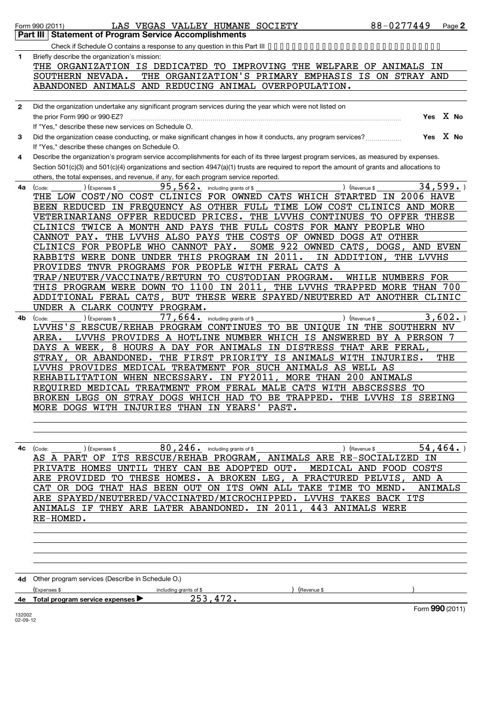|              | 88-0277449<br>LAS VEGAS VALLEY HUMANE SOCIETY<br>Form 990 (2011)                                                                           |           | Page 2   |
|--------------|--------------------------------------------------------------------------------------------------------------------------------------------|-----------|----------|
|              | <b>Statement of Program Service Accomplishments</b><br>Part III                                                                            |           |          |
|              |                                                                                                                                            |           |          |
| 1            | Briefly describe the organization's mission:                                                                                               |           |          |
|              | THE ORGANIZATION IS DEDICATED TO IMPROVING THE WELFARE OF ANIMALS IN                                                                       |           |          |
|              | THE ORGANIZATION'S PRIMARY EMPHASIS IS ON STRAY AND<br>SOUTHERN NEVADA.                                                                    |           |          |
|              | ABANDONED ANIMALS AND REDUCING ANIMAL OVERPOPULATION.                                                                                      |           |          |
|              |                                                                                                                                            |           |          |
| $\mathbf{2}$ | Did the organization undertake any significant program services during the year which were not listed on                                   |           |          |
|              | the prior Form 990 or 990-EZ?                                                                                                              |           | Yes X No |
|              | If "Yes," describe these new services on Schedule O.                                                                                       |           |          |
|              |                                                                                                                                            |           | Yes X No |
| 3            | Did the organization cease conducting, or make significant changes in how it conducts, any program services?                               |           |          |
|              | If "Yes," describe these changes on Schedule O.                                                                                            |           |          |
| 4            | Describe the organization's program service accomplishments for each of its three largest program services, as measured by expenses.       |           |          |
|              | Section 501(c)(3) and 501(c)(4) organizations and section 4947(a)(1) trusts are required to report the amount of grants and allocations to |           |          |
|              | others, the total expenses, and revenue, if any, for each program service reported.                                                        |           |          |
| 4a           | 95,562.<br>(Expenses \$<br>including grants of \$<br>) (Revenue \$<br>(Code:                                                               |           | 34,599.  |
|              | THE LOW COST/NO COST CLINICS FOR OWNED CATS WHICH STARTED<br><b>IN 2006 HAVE</b>                                                           |           |          |
|              | BEEN REDUCED IN FREQUENCY AS OTHER FULL TIME LOW COST CLINICS AND MORE                                                                     |           |          |
|              | VETERINARIANS OFFER REDUCED PRICES. THE LVVHS CONTINUES TO OFFER THESE                                                                     |           |          |
|              | CLINICS TWICE A MONTH AND PAYS THE FULL COSTS FOR MANY PEOPLE WHO                                                                          |           |          |
|              | THE LVVHS ALSO PAYS THE COSTS OF OWNED DOGS AT OTHER<br>CANNOT PAY.                                                                        |           |          |
|              | SOME 922 OWNED CATS,<br>CLINICS FOR PEOPLE WHO CANNOT PAY.<br>DOGS,                                                                        | AND EVEN  |          |
|              | RABBITS WERE DONE UNDER THIS PROGRAM IN 2011.<br>IN ADDITION                                                                               | THE LVVHS |          |
|              | PROVIDES TNVR PROGRAMS FOR PEOPLE WITH FERAL CATS A                                                                                        |           |          |
|              | TRAP/NEUTER/VACCINATE/RETURN TO CUSTODIAN PROGRAM.<br>WHILE NUMBERS FOR                                                                    |           |          |
|              | THIS PROGRAM WERE DOWN TO 1100 IN 2011,<br>THE LVVHS TRAPPED MORE THAN 700                                                                 |           |          |
|              | BUT THESE WERE SPAYED/NEUTERED AT ANOTHER CLINIC<br>ADDITIONAL FERAL CATS,                                                                 |           |          |
|              | UNDER A CLARK COUNTY PROGRAM.                                                                                                              |           |          |
| 4b.          | $77,664$ $\cdot$ including grants of \$<br>) (Expenses \$<br>) (Revenue \$<br>(Code:                                                       |           | 3,602.   |
|              | LVVHS'S RESCUE/REHAB PROGRAM CONTINUES TO BE UNIQUE<br>IN THE SOUTHERN NV                                                                  |           |          |
|              | LVVHS PROVIDES A HOTLINE NUMBER WHICH IS ANSWERED BY A PERSON 7<br>AREA.                                                                   |           |          |
|              | 8 HOURS A DAY FOR ANIMALS IN DISTRESS THAT ARE FERAL,<br>DAYS A WEEK,                                                                      |           |          |
|              | OR ABANDONED. THE FIRST PRIORITY IS ANIMALS WITH INJURIES.<br>STRAY ,                                                                      |           | THE      |
|              | LVVHS PROVIDES MEDICAL TREATMENT FOR SUCH ANIMALS AS WELL AS                                                                               |           |          |
|              | MORE THAN 200 ANIMALS<br>REHABILITATION WHEN NECESSARY. IN FY2011                                                                          |           |          |
|              | REQUIRED MEDICAL TREATMENT FROM FERAL MALE CATS WITH ABSCESSES TO                                                                          |           |          |
|              | BROKEN LEGS ON STRAY DOGS WHICH HAD TO BE TRAPPED. THE LVVHS IS SEEING                                                                     |           |          |
|              | MORE DOGS WITH INJURIES THAN IN YEARS' PAST.                                                                                               |           |          |
|              |                                                                                                                                            |           |          |
|              |                                                                                                                                            |           |          |
|              | $80$ , $246$ or including grants of \$                                                                                                     |           | 54, 464. |
|              | ) (Revenue \$<br>) (Expenses \$<br>$4c$ (Code:<br>AS A PART OF ITS RESCUE/REHAB PROGRAM, ANIMALS ARE RE-SOCIALIZED IN                      |           |          |
|              | PRIVATE HOMES UNTIL THEY CAN BE ADOPTED OUT. MEDICAL AND FOOD COSTS                                                                        |           |          |
|              | ARE PROVIDED TO THESE HOMES. A BROKEN LEG, A FRACTURED PELVIS, AND A                                                                       |           |          |
|              | CAT OR DOG THAT HAS BEEN OUT ON ITS OWN ALL TAKE TIME TO MEND. ANIMALS                                                                     |           |          |
|              |                                                                                                                                            |           |          |
|              | ARE SPAYED/NEUTERED/VACCINATED/MICROCHIPPED. LVVHS TAKES BACK ITS                                                                          |           |          |
|              | <u>ANIMALS IF THEY ARE LATER ABANDONED. IN 2011, 443 ANIMALS WERE</u>                                                                      |           |          |
|              | RE-HOMED.                                                                                                                                  |           |          |
|              |                                                                                                                                            |           |          |
|              |                                                                                                                                            |           |          |
|              |                                                                                                                                            |           |          |
|              |                                                                                                                                            |           |          |
|              |                                                                                                                                            |           |          |
|              | 4d Other program services (Describe in Schedule O.)                                                                                        |           |          |

|    | (Expenses                                            | including grants of \$ | Revenue \$ |                 |
|----|------------------------------------------------------|------------------------|------------|-----------------|
| 4e | Total program service expenses $\blacktriangleright$ | --                     |            |                 |
|    |                                                      |                        |            | Form 990 (2011) |

132002 02-09-12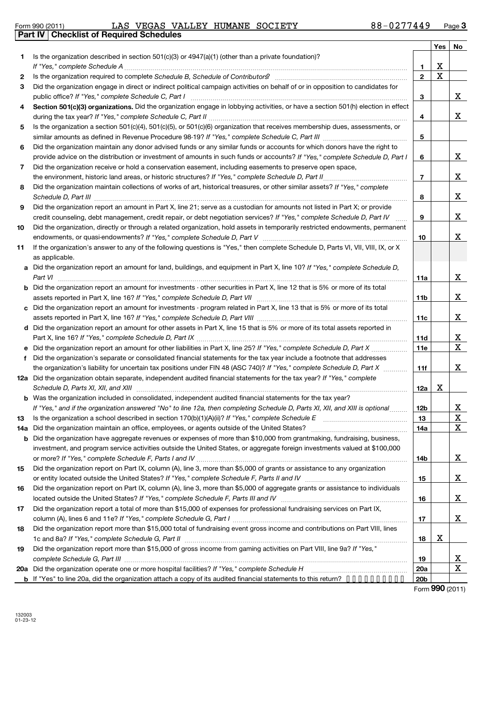|  | Form 990 (2011) |
|--|-----------------|
|  |                 |

Form 990 (2011) LAS VEGAS VALLEY HUMANE SOCIETY 8 8-0 2 / 7 4 4 9 Page **Part IV Checklist of Required Schedules** LAS VEGAS VALLEY HUMANE SOCIETY 88-0277449

|           |                                                                                                                                                                                                                                                   |                | Yes                     | No                      |
|-----------|---------------------------------------------------------------------------------------------------------------------------------------------------------------------------------------------------------------------------------------------------|----------------|-------------------------|-------------------------|
| 1         | Is the organization described in section $501(c)(3)$ or $4947(a)(1)$ (other than a private foundation)?                                                                                                                                           |                |                         |                         |
|           |                                                                                                                                                                                                                                                   | 1              | $\mathbf x$             |                         |
| 2         | Is the organization required to complete Schedule B, Schedule of Contributors? [111] [12] the organization required to complete Schedule B, Schedule of Contributors?                                                                             | 2              | $\overline{\textbf{x}}$ |                         |
| 3         | Did the organization engage in direct or indirect political campaign activities on behalf of or in opposition to candidates for<br>public office? If "Yes," complete Schedule C, Part I [11] [11] [12] [12] [12] [12] [13] [13] [13] [13] [13] [1 | 3              |                         | X                       |
| 4         | Section 501(c)(3) organizations. Did the organization engage in lobbying activities, or have a section 501(h) election in effect                                                                                                                  |                |                         |                         |
|           |                                                                                                                                                                                                                                                   | 4              |                         | X.                      |
| 5         | Is the organization a section 501(c)(4), 501(c)(5), or 501(c)(6) organization that receives membership dues, assessments, or                                                                                                                      |                |                         |                         |
|           |                                                                                                                                                                                                                                                   | 5              |                         |                         |
| 6         | Did the organization maintain any donor advised funds or any similar funds or accounts for which donors have the right to                                                                                                                         |                |                         |                         |
|           | provide advice on the distribution or investment of amounts in such funds or accounts? If "Yes," complete Schedule D, Part I                                                                                                                      | 6              |                         | X.                      |
| 7         | Did the organization receive or hold a conservation easement, including easements to preserve open space,                                                                                                                                         |                |                         |                         |
|           |                                                                                                                                                                                                                                                   | $\overline{7}$ |                         | X.                      |
| 8         | Did the organization maintain collections of works of art, historical treasures, or other similar assets? If "Yes," complete                                                                                                                      | 8              |                         | X                       |
| 9         | Did the organization report an amount in Part X, line 21; serve as a custodian for amounts not listed in Part X; or provide                                                                                                                       |                |                         |                         |
|           | credit counseling, debt management, credit repair, or debt negotiation services? If "Yes," complete Schedule D, Part IV                                                                                                                           | 9              |                         | X                       |
| 10        | Did the organization, directly or through a related organization, hold assets in temporarily restricted endowments, permanent                                                                                                                     |                |                         |                         |
|           |                                                                                                                                                                                                                                                   | 10             |                         | X.                      |
| 11        | If the organization's answer to any of the following questions is "Yes," then complete Schedule D, Parts VI, VII, VIII, IX, or X                                                                                                                  |                |                         |                         |
|           | as applicable.                                                                                                                                                                                                                                    |                |                         |                         |
|           | a Did the organization report an amount for land, buildings, and equipment in Part X, line 10? If "Yes," complete Schedule D,                                                                                                                     |                |                         |                         |
|           | Part VI                                                                                                                                                                                                                                           | 11a            |                         | X.                      |
|           | <b>b</b> Did the organization report an amount for investments - other securities in Part X, line 12 that is 5% or more of its total                                                                                                              |                |                         |                         |
|           |                                                                                                                                                                                                                                                   | 11b            |                         | X.                      |
|           | c Did the organization report an amount for investments - program related in Part X, line 13 that is 5% or more of its total                                                                                                                      |                |                         |                         |
|           |                                                                                                                                                                                                                                                   | 11c            |                         | X                       |
|           | d Did the organization report an amount for other assets in Part X, line 15 that is 5% or more of its total assets reported in                                                                                                                    |                |                         |                         |
|           |                                                                                                                                                                                                                                                   | 11d            |                         | X                       |
|           |                                                                                                                                                                                                                                                   | 11e            |                         | $\mathbf X$             |
| f         | Did the organization's separate or consolidated financial statements for the tax year include a footnote that addresses                                                                                                                           |                |                         |                         |
|           | the organization's liability for uncertain tax positions under FIN 48 (ASC 740)? If "Yes," complete Schedule D, Part X                                                                                                                            | 11f            |                         | X                       |
|           | 12a Did the organization obtain separate, independent audited financial statements for the tax year? If "Yes," complete                                                                                                                           |                |                         |                         |
|           | Schedule D, Parts XI, XII, and XIII                                                                                                                                                                                                               | 12a            | Х                       |                         |
|           | <b>b</b> Was the organization included in consolidated, independent audited financial statements for the tax year?                                                                                                                                |                |                         | X                       |
|           | If "Yes," and if the organization answered "No" to line 12a, then completing Schedule D, Parts XI, XII, and XIII is optional<br>Is the organization a school described in section $170(b)(1)(A)(ii)?$ If "Yes," complete Schedule E               | 12b            |                         | $\overline{\mathbf{X}}$ |
| 13<br>14a | Did the organization maintain an office, employees, or agents outside of the United States?                                                                                                                                                       | 13<br>14a      |                         | x                       |
|           | <b>b</b> Did the organization have aggregate revenues or expenses of more than \$10,000 from grantmaking, fundraising, business,                                                                                                                  |                |                         |                         |
|           | investment, and program service activities outside the United States, or aggregate foreign investments valued at \$100,000                                                                                                                        |                |                         |                         |
|           |                                                                                                                                                                                                                                                   | 14b            |                         | X.                      |
| 15        | Did the organization report on Part IX, column (A), line 3, more than \$5,000 of grants or assistance to any organization                                                                                                                         |                |                         |                         |
|           |                                                                                                                                                                                                                                                   | 15             |                         | X                       |
| 16        | Did the organization report on Part IX, column (A), line 3, more than \$5,000 of aggregate grants or assistance to individuals                                                                                                                    |                |                         |                         |
|           |                                                                                                                                                                                                                                                   | 16             |                         | X                       |
| 17        | Did the organization report a total of more than \$15,000 of expenses for professional fundraising services on Part IX,                                                                                                                           |                |                         |                         |
|           |                                                                                                                                                                                                                                                   | 17             |                         | X                       |
| 18        | Did the organization report more than \$15,000 total of fundraising event gross income and contributions on Part VIII, lines                                                                                                                      |                |                         |                         |
|           |                                                                                                                                                                                                                                                   | 18             | X                       |                         |
| 19        | Did the organization report more than \$15,000 of gross income from gaming activities on Part VIII, line 9a? If "Yes,"                                                                                                                            |                |                         |                         |
|           |                                                                                                                                                                                                                                                   | 19             |                         | <u>x</u>                |
|           |                                                                                                                                                                                                                                                   | 20a            |                         | x                       |
|           | <b>b</b> If "Yes" to line 20a, did the organization attach a copy of its audited financial statements to this return? •••••••••••                                                                                                                 | 20b            |                         |                         |

Form **990** (2011)

132003 01-23-12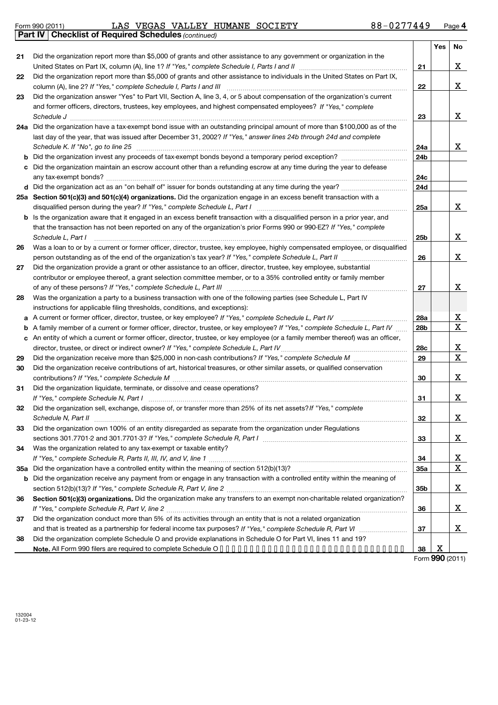Form 990 (2011) LAS VEGAS VALLEY HUMANE SOCIETY 8 8-0 2 / 7 4 4 9 Page LAS VEGAS VALLEY HUMANE SOCIETY 88-0277449

|     | Part IV   Checklist of Required Schedules (continued)                                                                                                                                                                                                                                                                                                                                                                                                  |                 |     |          |
|-----|--------------------------------------------------------------------------------------------------------------------------------------------------------------------------------------------------------------------------------------------------------------------------------------------------------------------------------------------------------------------------------------------------------------------------------------------------------|-----------------|-----|----------|
|     |                                                                                                                                                                                                                                                                                                                                                                                                                                                        |                 | Yes | No       |
| 21  | Did the organization report more than \$5,000 of grants and other assistance to any government or organization in the                                                                                                                                                                                                                                                                                                                                  |                 |     |          |
|     |                                                                                                                                                                                                                                                                                                                                                                                                                                                        | 21              |     | х        |
| 22  | Did the organization report more than \$5,000 of grants and other assistance to individuals in the United States on Part IX,                                                                                                                                                                                                                                                                                                                           |                 |     |          |
|     |                                                                                                                                                                                                                                                                                                                                                                                                                                                        | 22              |     | X        |
| 23  | Did the organization answer "Yes" to Part VII, Section A, line 3, 4, or 5 about compensation of the organization's current                                                                                                                                                                                                                                                                                                                             |                 |     |          |
|     | and former officers, directors, trustees, key employees, and highest compensated employees? If "Yes," complete                                                                                                                                                                                                                                                                                                                                         |                 |     |          |
|     |                                                                                                                                                                                                                                                                                                                                                                                                                                                        |                 |     | x        |
|     | Schedule J <b>Execute Schedule J Execute Schedule J Execute Schedule J Execute Schedule J</b>                                                                                                                                                                                                                                                                                                                                                          | 23              |     |          |
|     | 24a Did the organization have a tax-exempt bond issue with an outstanding principal amount of more than \$100,000 as of the                                                                                                                                                                                                                                                                                                                            |                 |     |          |
|     | last day of the year, that was issued after December 31, 2002? If "Yes," answer lines 24b through 24d and complete                                                                                                                                                                                                                                                                                                                                     |                 |     |          |
|     | Schedule K. If "No", go to line 25 [11] Martin March 2014   Martin March 2015   March 2015   March 2015   March 2016                                                                                                                                                                                                                                                                                                                                   | 24a             |     | x        |
|     |                                                                                                                                                                                                                                                                                                                                                                                                                                                        | 24 <sub>b</sub> |     |          |
|     | Did the organization maintain an escrow account other than a refunding escrow at any time during the year to defease                                                                                                                                                                                                                                                                                                                                   |                 |     |          |
|     |                                                                                                                                                                                                                                                                                                                                                                                                                                                        | 24c             |     |          |
|     |                                                                                                                                                                                                                                                                                                                                                                                                                                                        | 24d             |     |          |
|     | 25a Section 501(c)(3) and 501(c)(4) organizations. Did the organization engage in an excess benefit transaction with a                                                                                                                                                                                                                                                                                                                                 |                 |     |          |
|     |                                                                                                                                                                                                                                                                                                                                                                                                                                                        | 25a             |     | x        |
|     | Is the organization aware that it engaged in an excess benefit transaction with a disqualified person in a prior year, and                                                                                                                                                                                                                                                                                                                             |                 |     |          |
|     | that the transaction has not been reported on any of the organization's prior Forms 990 or 990-EZ? If "Yes," complete                                                                                                                                                                                                                                                                                                                                  |                 |     |          |
|     | Schedule L, Part I<br>$\begin{minipage}[c]{0.5\textwidth} \centering \begin{tabular}{ c c c c c } \hline \multicolumn{1}{ c }{\textbf{0.5}} & \multicolumn{1}{ c }{\textbf{0.5}} & \multicolumn{1}{ c }{\textbf{0.5}} & \multicolumn{1}{ c }{\textbf{0.5}} & \multicolumn{1}{ c }{\textbf{0.5}} & \multicolumn{1}{ c }{\textbf{0.5}} & \multicolumn{1}{ c }{\textbf{0.5}} & \multicolumn{1}{ c }{\textbf{0.5}} & \multicolumn{1}{ c }{\textbf{0.5}} &$ | 25 <sub>b</sub> |     | х        |
| 26  | Was a loan to or by a current or former officer, director, trustee, key employee, highly compensated employee, or disqualified                                                                                                                                                                                                                                                                                                                         |                 |     |          |
|     | person outstanding as of the end of the organization's tax year? If "Yes," complete Schedule L, Part II manumumum                                                                                                                                                                                                                                                                                                                                      | 26              |     | x        |
| 27  | Did the organization provide a grant or other assistance to an officer, director, trustee, key employee, substantial                                                                                                                                                                                                                                                                                                                                   |                 |     |          |
|     | contributor or employee thereof, a grant selection committee member, or to a 35% controlled entity or family member                                                                                                                                                                                                                                                                                                                                    |                 |     |          |
|     |                                                                                                                                                                                                                                                                                                                                                                                                                                                        | 27              |     | X        |
|     | Was the organization a party to a business transaction with one of the following parties (see Schedule L, Part IV                                                                                                                                                                                                                                                                                                                                      |                 |     |          |
| 28  |                                                                                                                                                                                                                                                                                                                                                                                                                                                        |                 |     |          |
|     | instructions for applicable filing thresholds, conditions, and exceptions):                                                                                                                                                                                                                                                                                                                                                                            |                 |     |          |
| a   | A current or former officer, director, trustee, or key employee? If "Yes," complete Schedule L, Part IV                                                                                                                                                                                                                                                                                                                                                | 28a             |     | X        |
| b   | A family member of a current or former officer, director, trustee, or key employee? If "Yes," complete Schedule L, Part IV                                                                                                                                                                                                                                                                                                                             | 28 <sub>b</sub> |     | X        |
| c   | An entity of which a current or former officer, director, trustee, or key employee (or a family member thereof) was an officer,                                                                                                                                                                                                                                                                                                                        |                 |     |          |
|     |                                                                                                                                                                                                                                                                                                                                                                                                                                                        | 28c             |     | X        |
| 29  |                                                                                                                                                                                                                                                                                                                                                                                                                                                        | 29              |     | X        |
| 30  | Did the organization receive contributions of art, historical treasures, or other similar assets, or qualified conservation                                                                                                                                                                                                                                                                                                                            |                 |     |          |
|     |                                                                                                                                                                                                                                                                                                                                                                                                                                                        | 30              |     | X        |
| 31  | Did the organization liquidate, terminate, or dissolve and cease operations?                                                                                                                                                                                                                                                                                                                                                                           |                 |     |          |
|     |                                                                                                                                                                                                                                                                                                                                                                                                                                                        | 31              |     | X        |
| 32  | Did the organization sell, exchange, dispose of, or transfer more than 25% of its net assets? If "Yes," complete                                                                                                                                                                                                                                                                                                                                       |                 |     |          |
|     |                                                                                                                                                                                                                                                                                                                                                                                                                                                        | 32              |     | x        |
| 33  | Did the organization own 100% of an entity disregarded as separate from the organization under Regulations                                                                                                                                                                                                                                                                                                                                             |                 |     |          |
|     |                                                                                                                                                                                                                                                                                                                                                                                                                                                        | 33              |     | X        |
| 34  | Was the organization related to any tax-exempt or taxable entity?                                                                                                                                                                                                                                                                                                                                                                                      |                 |     |          |
|     |                                                                                                                                                                                                                                                                                                                                                                                                                                                        | 34              |     | <u>x</u> |
| 35а |                                                                                                                                                                                                                                                                                                                                                                                                                                                        | 35a             |     | X        |
| b   | Did the organization receive any payment from or engage in any transaction with a controlled entity within the meaning of                                                                                                                                                                                                                                                                                                                              |                 |     |          |
|     |                                                                                                                                                                                                                                                                                                                                                                                                                                                        | 35 <sub>b</sub> |     | х        |
|     | Section 501(c)(3) organizations. Did the organization make any transfers to an exempt non-charitable related organization?                                                                                                                                                                                                                                                                                                                             |                 |     |          |
| 36  |                                                                                                                                                                                                                                                                                                                                                                                                                                                        |                 |     |          |
|     |                                                                                                                                                                                                                                                                                                                                                                                                                                                        | 36              |     | х        |
| 37  | Did the organization conduct more than 5% of its activities through an entity that is not a related organization                                                                                                                                                                                                                                                                                                                                       |                 |     |          |
|     |                                                                                                                                                                                                                                                                                                                                                                                                                                                        | 37              |     | x        |
| 38  | Did the organization complete Schedule O and provide explanations in Schedule O for Part VI, lines 11 and 19?                                                                                                                                                                                                                                                                                                                                          |                 |     |          |
|     |                                                                                                                                                                                                                                                                                                                                                                                                                                                        | 38              | x   |          |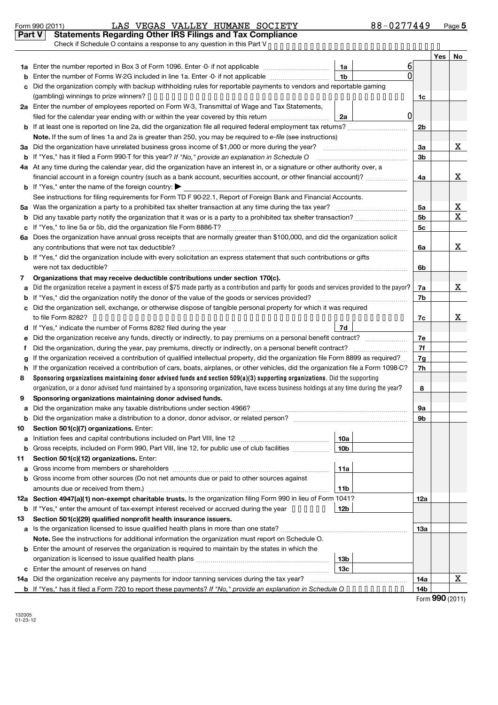#### Form 990 (2011) LAS VEGAS VALLEY HUMANE SOCIETY 8 8-0 2 / 7 4 4 9 Page **Part V Statements Regarding Other IRS Filings and Tax Compliance** LAS VEGAS VALLEY HUMANE SOCIETY 88-0277449

|        | Check if Schedule O contains a response to any question in this Part V.                                                                                                                                                                                           |                 |                |                |            |             |  |  |  |
|--------|-------------------------------------------------------------------------------------------------------------------------------------------------------------------------------------------------------------------------------------------------------------------|-----------------|----------------|----------------|------------|-------------|--|--|--|
|        |                                                                                                                                                                                                                                                                   |                 |                |                | <b>Yes</b> | No          |  |  |  |
|        | 1a Enter the number reported in Box 3 of Form 1096. Enter -0- if not applicable                                                                                                                                                                                   | 1a              | ы              |                |            |             |  |  |  |
|        | Enter the number of Forms W-2G included in line 1a. Enter -0- if not applicable                                                                                                                                                                                   | 1 <sub>b</sub>  | U              |                |            |             |  |  |  |
| C      | Did the organization comply with backup withholding rules for reportable payments to vendors and reportable gaming                                                                                                                                                |                 |                |                |            |             |  |  |  |
|        |                                                                                                                                                                                                                                                                   |                 |                | 1c             |            |             |  |  |  |
|        | 2a Enter the number of employees reported on Form W-3, Transmittal of Wage and Tax Statements,                                                                                                                                                                    |                 |                |                |            |             |  |  |  |
|        | filed for the calendar year ending with or within the year covered by this return <i>manumumumum</i>                                                                                                                                                              | 2a              | $\overline{0}$ |                |            |             |  |  |  |
|        |                                                                                                                                                                                                                                                                   |                 |                | 2b             |            |             |  |  |  |
|        | Note. If the sum of lines 1a and 2a is greater than 250, you may be required to e-file (see instructions)                                                                                                                                                         |                 |                |                |            |             |  |  |  |
|        | 3a Did the organization have unrelated business gross income of \$1,000 or more during the year?                                                                                                                                                                  |                 |                | За             |            | х           |  |  |  |
|        | <b>b</b> If "Yes," has it filed a Form 990-T for this year? If "No," provide an explanation in Schedule O                                                                                                                                                         |                 |                | 3 <sub>b</sub> |            |             |  |  |  |
|        | 4a At any time during the calendar year, did the organization have an interest in, or a signature or other authority over, a                                                                                                                                      |                 |                |                |            |             |  |  |  |
|        | financial account in a foreign country (such as a bank account, securities account, or other financial account)?                                                                                                                                                  |                 |                | 4a             |            | х           |  |  |  |
|        | <b>b</b> If "Yes," enter the name of the foreign country: $\blacktriangleright$                                                                                                                                                                                   |                 |                |                |            |             |  |  |  |
|        | See instructions for filing requirements for Form TD F 90-22.1, Report of Foreign Bank and Financial Accounts.                                                                                                                                                    |                 |                |                |            |             |  |  |  |
| 5a     |                                                                                                                                                                                                                                                                   |                 |                | 5а             |            | х           |  |  |  |
|        |                                                                                                                                                                                                                                                                   |                 |                | 5 <sub>b</sub> |            | $\mathbf X$ |  |  |  |
| c      |                                                                                                                                                                                                                                                                   |                 |                |                |            |             |  |  |  |
|        | 6a Does the organization have annual gross receipts that are normally greater than \$100,000, and did the organization solicit                                                                                                                                    |                 |                |                |            |             |  |  |  |
|        |                                                                                                                                                                                                                                                                   |                 |                | 6a             |            | х           |  |  |  |
|        | b If "Yes," did the organization include with every solicitation an express statement that such contributions or gifts                                                                                                                                            |                 |                |                |            |             |  |  |  |
|        |                                                                                                                                                                                                                                                                   |                 |                | 6b             |            |             |  |  |  |
| 7      | Organizations that may receive deductible contributions under section 170(c).                                                                                                                                                                                     |                 |                |                |            |             |  |  |  |
| a      | Did the organization receive a payment in excess of \$75 made partly as a contribution and partly for goods and services provided to the payor?                                                                                                                   |                 |                | 7a             |            | Χ           |  |  |  |
|        |                                                                                                                                                                                                                                                                   |                 |                | 7b             |            |             |  |  |  |
| c      | Did the organization sell, exchange, or otherwise dispose of tangible personal property for which it was required                                                                                                                                                 |                 |                |                |            |             |  |  |  |
|        |                                                                                                                                                                                                                                                                   |                 |                |                |            |             |  |  |  |
|        | If "Yes," indicate the number of Forms 8282 filed during the year <i>[[[[[[[[[[[[[[]]]</i> ]]                                                                                                                                                                     | 7d              |                |                |            |             |  |  |  |
| е      | Did the organization receive any funds, directly or indirectly, to pay premiums on a personal benefit contract?                                                                                                                                                   |                 |                | 7e             |            |             |  |  |  |
| t      | Did the organization, during the year, pay premiums, directly or indirectly, on a personal benefit contract?                                                                                                                                                      |                 |                | 7f             |            |             |  |  |  |
| g      | If the organization received a contribution of qualified intellectual property, did the organization file Form 8899 as required?                                                                                                                                  |                 |                | 7g             |            |             |  |  |  |
| h<br>8 | If the organization received a contribution of cars, boats, airplanes, or other vehicles, did the organization file a Form 1098-C?<br>Sponsoring organizations maintaining donor advised funds and section 509(a)(3) supporting organizations. Did the supporting |                 |                | 7h             |            |             |  |  |  |
|        | organization, or a donor advised fund maintained by a sponsoring organization, have excess business holdings at any time during the year?                                                                                                                         |                 |                | 8              |            |             |  |  |  |
| 9      | Sponsoring organizations maintaining donor advised funds.                                                                                                                                                                                                         |                 |                |                |            |             |  |  |  |
| a      |                                                                                                                                                                                                                                                                   |                 |                | 9а             |            |             |  |  |  |
|        |                                                                                                                                                                                                                                                                   |                 |                | 9b             |            |             |  |  |  |
| 10     | Section 501(c)(7) organizations. Enter:                                                                                                                                                                                                                           |                 |                |                |            |             |  |  |  |
| a      |                                                                                                                                                                                                                                                                   | 10a             |                |                |            |             |  |  |  |
|        | <b>b</b> Gross receipts, included on Form 990, Part VIII, line 12, for public use of club facilities <i>manimum</i>                                                                                                                                               | 10 <sub>b</sub> |                |                |            |             |  |  |  |
| 11     | Section 501(c)(12) organizations. Enter:                                                                                                                                                                                                                          |                 |                |                |            |             |  |  |  |
| a      |                                                                                                                                                                                                                                                                   | 11a             |                |                |            |             |  |  |  |
|        | b Gross income from other sources (Do not net amounts due or paid to other sources against                                                                                                                                                                        |                 |                |                |            |             |  |  |  |
|        | amounts due or received from them.)                                                                                                                                                                                                                               | 11b             |                |                |            |             |  |  |  |
|        | 12a Section 4947(a)(1) non-exempt charitable trusts. Is the organization filing Form 990 in lieu of Form 1041?                                                                                                                                                    |                 |                | 12a            |            |             |  |  |  |
|        | <b>b</b> If "Yes," enter the amount of tax-exempt interest received or accrued during the year ••••••                                                                                                                                                             | 12b             |                |                |            |             |  |  |  |
| 13     | Section 501(c)(29) qualified nonprofit health insurance issuers.                                                                                                                                                                                                  |                 |                |                |            |             |  |  |  |
|        | a Is the organization licensed to issue qualified health plans in more than one state?                                                                                                                                                                            |                 |                | 1За            |            |             |  |  |  |
|        | Note. See the instructions for additional information the organization must report on Schedule O.                                                                                                                                                                 |                 |                |                |            |             |  |  |  |
|        | <b>b</b> Enter the amount of reserves the organization is required to maintain by the states in which the                                                                                                                                                         |                 |                |                |            |             |  |  |  |
|        |                                                                                                                                                                                                                                                                   | 13 <sub>b</sub> |                |                |            |             |  |  |  |
|        |                                                                                                                                                                                                                                                                   | 13c             |                |                |            |             |  |  |  |
|        | 14a Did the organization receive any payments for indoor tanning services during the tax year?                                                                                                                                                                    |                 |                | 14a            |            | Χ           |  |  |  |
|        | <b>b</b> If "Yes," has it filed a Form 720 to report these payments? If "No," provide an explanation in Schedule O • • • • • • • • • •                                                                                                                            |                 |                | 14b            |            |             |  |  |  |

Form **990** (2011)

132005 01-23-12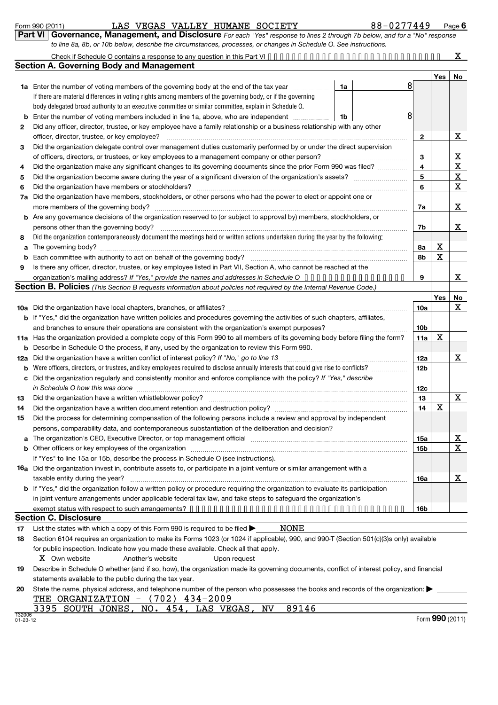132006 01-23-12

|     | Part VI Governance, Management, and Disclosure For each "Yes" response to lines 2 through 7b below, and for a "No" response                                                                                                   |    |  |                 |     |                         |  |  |  |  |
|-----|-------------------------------------------------------------------------------------------------------------------------------------------------------------------------------------------------------------------------------|----|--|-----------------|-----|-------------------------|--|--|--|--|
|     | to line 8a, 8b, or 10b below, describe the circumstances, processes, or changes in Schedule O. See instructions.                                                                                                              |    |  |                 |     |                         |  |  |  |  |
|     |                                                                                                                                                                                                                               |    |  |                 |     | x                       |  |  |  |  |
|     | <b>Section A. Governing Body and Management</b>                                                                                                                                                                               |    |  |                 |     |                         |  |  |  |  |
|     |                                                                                                                                                                                                                               |    |  |                 | Yes | No                      |  |  |  |  |
|     | 1a Enter the number of voting members of the governing body at the end of the tax year                                                                                                                                        | 1a |  | 8               |     |                         |  |  |  |  |
|     | If there are material differences in voting rights among members of the governing body, or if the governing                                                                                                                   |    |  |                 |     |                         |  |  |  |  |
|     | body delegated broad authority to an executive committee or similar committee, explain in Schedule O.                                                                                                                         |    |  |                 |     |                         |  |  |  |  |
|     | Enter the number of voting members included in line 1a, above, who are independent                                                                                                                                            | 1b |  |                 |     |                         |  |  |  |  |
| 2   | Did any officer, director, trustee, or key employee have a family relationship or a business relationship with any other                                                                                                      |    |  |                 |     |                         |  |  |  |  |
|     |                                                                                                                                                                                                                               |    |  | 2               |     | Χ                       |  |  |  |  |
| 3   | Did the organization delegate control over management duties customarily performed by or under the direct supervision                                                                                                         |    |  |                 |     |                         |  |  |  |  |
|     |                                                                                                                                                                                                                               |    |  |                 |     |                         |  |  |  |  |
| 4   | Did the organization make any significant changes to its governing documents since the prior Form 990 was filed?                                                                                                              |    |  |                 |     |                         |  |  |  |  |
| 5   |                                                                                                                                                                                                                               |    |  | 5               |     | $\overline{\mathbf{X}}$ |  |  |  |  |
| 6   |                                                                                                                                                                                                                               |    |  | 6               |     | $\overline{\mathbf{x}}$ |  |  |  |  |
| 7a  | Did the organization have members, stockholders, or other persons who had the power to elect or appoint one or                                                                                                                |    |  |                 |     |                         |  |  |  |  |
|     |                                                                                                                                                                                                                               |    |  | 7a              |     | х                       |  |  |  |  |
|     | b Are any governance decisions of the organization reserved to (or subject to approval by) members, stockholders, or                                                                                                          |    |  |                 |     |                         |  |  |  |  |
|     | persons other than the governing body?                                                                                                                                                                                        |    |  |                 |     |                         |  |  |  |  |
| 8   | Did the organization contemporaneously document the meetings held or written actions undertaken during the year by the following:                                                                                             |    |  |                 |     |                         |  |  |  |  |
| a   |                                                                                                                                                                                                                               |    |  |                 |     |                         |  |  |  |  |
| b   |                                                                                                                                                                                                                               |    |  | 8b              | X   |                         |  |  |  |  |
| 9   | Is there any officer, director, trustee, or key employee listed in Part VII, Section A, who cannot be reached at the                                                                                                          |    |  |                 |     |                         |  |  |  |  |
|     | organization's mailing address? If "Yes," provide the names and addresses in Schedule O                                                                                                                                       |    |  |                 |     |                         |  |  |  |  |
|     | Section B. Policies (This Section B requests information about policies not required by the Internal Revenue Code.)                                                                                                           |    |  |                 |     |                         |  |  |  |  |
|     |                                                                                                                                                                                                                               |    |  |                 | Yes | No                      |  |  |  |  |
|     |                                                                                                                                                                                                                               |    |  | 10a             |     | X                       |  |  |  |  |
|     | <b>b</b> If "Yes," did the organization have written policies and procedures governing the activities of such chapters, affiliates,                                                                                           |    |  |                 |     |                         |  |  |  |  |
|     |                                                                                                                                                                                                                               |    |  | 10 <sub>b</sub> |     |                         |  |  |  |  |
|     | 11a Has the organization provided a complete copy of this Form 990 to all members of its governing body before filing the form?                                                                                               |    |  | 11a             | X   |                         |  |  |  |  |
| b   | Describe in Schedule O the process, if any, used by the organization to review this Form 990.                                                                                                                                 |    |  |                 |     |                         |  |  |  |  |
| 12a | Did the organization have a written conflict of interest policy? If "No," go to line 13                                                                                                                                       |    |  | 12a             |     | X                       |  |  |  |  |
| b   |                                                                                                                                                                                                                               |    |  | <b>12b</b>      |     |                         |  |  |  |  |
|     | c Did the organization regularly and consistently monitor and enforce compliance with the policy? If "Yes," describe                                                                                                          |    |  |                 |     |                         |  |  |  |  |
|     | in Schedule O how this was done manufactured and contain an account of the state of the state of the state of                                                                                                                 |    |  |                 |     |                         |  |  |  |  |
| 13  | Did the organization have a written whistleblower policy?                                                                                                                                                                     |    |  | 13              |     | X                       |  |  |  |  |
| 14  | Did the organization have a written document retention and destruction policy? [11] manufaction manufaction in                                                                                                                |    |  | 14              | х   |                         |  |  |  |  |
| 15  | Did the process for determining compensation of the following persons include a review and approval by independent                                                                                                            |    |  |                 |     |                         |  |  |  |  |
|     | persons, comparability data, and contemporaneous substantiation of the deliberation and decision?                                                                                                                             |    |  |                 |     |                         |  |  |  |  |
|     | The organization's CEO, Executive Director, or top management official manufactured content content of the organization's CEO, Executive Director, or top management official manufactured content of the original content of |    |  | 15a             |     | <u>x</u>                |  |  |  |  |
|     | Other officers or key employees of the organization                                                                                                                                                                           |    |  | 15b             |     | X                       |  |  |  |  |
|     | If "Yes" to line 15a or 15b, describe the process in Schedule O (see instructions).                                                                                                                                           |    |  |                 |     |                         |  |  |  |  |
|     | 16a Did the organization invest in, contribute assets to, or participate in a joint venture or similar arrangement with a                                                                                                     |    |  |                 |     |                         |  |  |  |  |
|     | taxable entity during the year?                                                                                                                                                                                               |    |  | 16a             |     | х                       |  |  |  |  |
|     | <b>b</b> If "Yes," did the organization follow a written policy or procedure requiring the organization to evaluate its participation                                                                                         |    |  |                 |     |                         |  |  |  |  |
|     | in joint venture arrangements under applicable federal tax law, and take steps to safeguard the organization's                                                                                                                |    |  |                 |     |                         |  |  |  |  |
|     |                                                                                                                                                                                                                               |    |  | 16b             |     |                         |  |  |  |  |
|     | <b>Section C. Disclosure</b>                                                                                                                                                                                                  |    |  |                 |     |                         |  |  |  |  |
| 17  | NONE<br>List the states with which a copy of this Form 990 is required to be filed $\blacktriangleright$                                                                                                                      |    |  |                 |     |                         |  |  |  |  |
| 18  | Section 6104 requires an organization to make its Forms 1023 (or 1024 if applicable), 990, and 990-T (Section 501(c)(3)s only) available                                                                                      |    |  |                 |     |                         |  |  |  |  |
|     | for public inspection. Indicate how you made these available. Check all that apply.                                                                                                                                           |    |  |                 |     |                         |  |  |  |  |
|     | X Own website<br>Another's website<br>Upon request                                                                                                                                                                            |    |  |                 |     |                         |  |  |  |  |
| 19  | Describe in Schedule O whether (and if so, how), the organization made its governing documents, conflict of interest policy, and financial                                                                                    |    |  |                 |     |                         |  |  |  |  |
|     | statements available to the public during the tax year.                                                                                                                                                                       |    |  |                 |     |                         |  |  |  |  |
| 20  | State the name, physical address, and telephone number of the person who possesses the books and records of the organization:                                                                                                 |    |  |                 |     |                         |  |  |  |  |
|     | THE ORGANIZATION - (702) 434-2009                                                                                                                                                                                             |    |  |                 |     |                         |  |  |  |  |

3395 SOUTH JONES, NO. 454, LAS VEGAS, NV 89146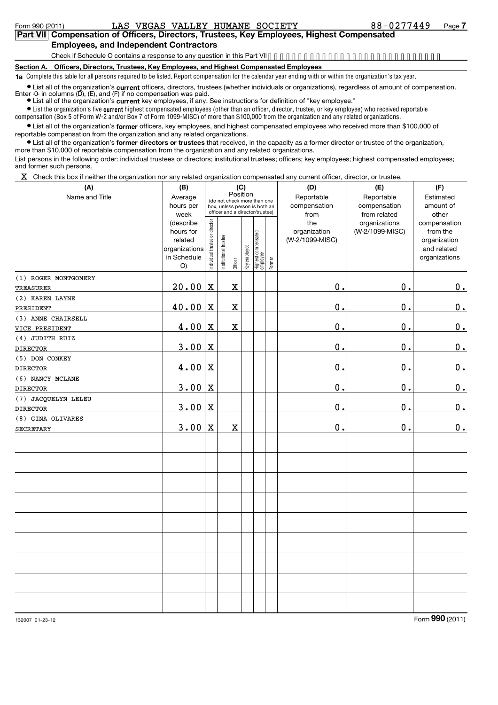#### **Part VII Compensation of Officers, Directors, Trustees, Key Employees, Highest Compensated Employees, and Independent Contractors**

Check if Schedule O contains a response to any question in this Part VII.............................

**Section A. Officers, Directors, Trustees, Key Employees, and Highest Compensated Employees**

**1a** Complete this table for all persons required to be listed. Report compensation for the calendar year ending with or within the organization's tax year.

● List all of the organization's **current** officers, directors, trustees (whether individuals or organizations), regardless of amount of compensation.<br>Enter -0- in columns (D), (E), and (F) if no compensation was paid.

**•** List all of the organization's current key employees, if any. See instructions for definition of "key employee."

 $\bullet$  List the organization's five  $\mathfrak{current}$  highest compensated employees (other than an officer, director, trustee, or key employee) who received reportable compensation (Box 5 of Form W-2 and/or Box 7 of Form 1099-MISC) of more than \$100,000 from the organization and any related organizations .

List all of the organization's former officers, key employees, and highest compensated employees who received more than \$100,000 of reportable compensation from the organization and any related organizations.

**•** List all of the organization's former directors or trustees that received, in the capacity as a former director or trustee of the organization, more than \$10,000 of reportable compensation from the organization and any related organizations.

List persons in the following order: individual trustees or directors; institutional trustees; officers; key employees; highest compensated employees; and former such persons.

 $X$  Check this box if neither the organization nor any related organization compensated any current officer, director, or trustee.

| (A)                          | (B)                                                                     |                                |                                                                                                             | (C)                     |              |                                 |        | (D)                                    | (E)                                        | (F)                                                                      |
|------------------------------|-------------------------------------------------------------------------|--------------------------------|-------------------------------------------------------------------------------------------------------------|-------------------------|--------------|---------------------------------|--------|----------------------------------------|--------------------------------------------|--------------------------------------------------------------------------|
| Name and Title               | Average<br>hours per<br>week                                            |                                | Position<br>(do not check more than one<br>box, unless person is both an<br>officer and a director/trustee) |                         |              |                                 |        | Reportable<br>compensation<br>from     | Reportable<br>compensation<br>from related | Estimated<br>amount of<br>other                                          |
|                              | (describe<br>hours for<br>related<br>organizations<br>in Schedule<br>O) | Individual trustee or director | Institutional trustee                                                                                       | Officer                 | Key employee | Highest compensated<br>employee | Former | the<br>organization<br>(W-2/1099-MISC) | organizations<br>(W-2/1099-MISC)           | compensation<br>from the<br>organization<br>and related<br>organizations |
| (1) ROGER MONTGOMERY         |                                                                         |                                |                                                                                                             |                         |              |                                 |        |                                        |                                            |                                                                          |
| TREASURER                    | 20.00                                                                   | $\mathbf X$                    |                                                                                                             | X                       |              |                                 |        | 0.                                     | $\mathbf 0$ .                              | 0.                                                                       |
| (2) KAREN LAYNE<br>PRESIDENT | 40.00                                                                   | $\mathbf X$                    |                                                                                                             | $\overline{\textbf{X}}$ |              |                                 |        | 0.                                     | $\mathbf 0$ .                              | $0_{.}$                                                                  |
| (3) ANNE CHAIRSELL           |                                                                         |                                |                                                                                                             |                         |              |                                 |        |                                        |                                            |                                                                          |
| VICE PRESIDENT               | 4.00                                                                    | $\mathbf X$                    |                                                                                                             | $\overline{\text{X}}$   |              |                                 |        | 0.                                     | $\mathbf 0$ .                              | $\mathbf 0$ .                                                            |
| (4) JUDITH RUIZ              |                                                                         |                                |                                                                                                             |                         |              |                                 |        |                                        |                                            |                                                                          |
| <b>DIRECTOR</b>              | 3.00                                                                    | $\mathbf X$                    |                                                                                                             |                         |              |                                 |        | 0.                                     | $\mathbf 0$ .                              | 0.                                                                       |
| (5) DON CONKEY               |                                                                         |                                |                                                                                                             |                         |              |                                 |        |                                        |                                            |                                                                          |
| <b>DIRECTOR</b>              | $4.00 \, \mathrm{X}$                                                    |                                |                                                                                                             |                         |              |                                 |        | $\mathbf 0$ .                          | $\mathbf 0$ .                              | 0.                                                                       |
| (6) NANCY MCLANE             |                                                                         |                                |                                                                                                             |                         |              |                                 |        |                                        |                                            |                                                                          |
| <b>DIRECTOR</b>              | $3.00 \, \text{X}$                                                      |                                |                                                                                                             |                         |              |                                 |        | 0.                                     | О.                                         | 0.                                                                       |
| (7) JACQUELYN LELEU          |                                                                         |                                |                                                                                                             |                         |              |                                 |        |                                        |                                            |                                                                          |
| <b>DIRECTOR</b>              | $3.00 \, \text{X}$                                                      |                                |                                                                                                             |                         |              |                                 |        | $\mathbf 0$ .                          | $\mathbf 0$ .                              | 0.                                                                       |
| (8) GINA OLIVARES            |                                                                         |                                |                                                                                                             |                         |              |                                 |        |                                        |                                            |                                                                          |
| <b>SECRETARY</b>             | $3.00 \, \text{X}$                                                      |                                |                                                                                                             | X                       |              |                                 |        | $\mathbf 0$ .                          | $\mathbf 0$ .                              | 0.                                                                       |
|                              |                                                                         |                                |                                                                                                             |                         |              |                                 |        |                                        |                                            |                                                                          |
|                              |                                                                         |                                |                                                                                                             |                         |              |                                 |        |                                        |                                            |                                                                          |
|                              |                                                                         |                                |                                                                                                             |                         |              |                                 |        |                                        |                                            |                                                                          |
|                              |                                                                         |                                |                                                                                                             |                         |              |                                 |        |                                        |                                            |                                                                          |
|                              |                                                                         |                                |                                                                                                             |                         |              |                                 |        |                                        |                                            |                                                                          |
|                              |                                                                         |                                |                                                                                                             |                         |              |                                 |        |                                        |                                            |                                                                          |
|                              |                                                                         |                                |                                                                                                             |                         |              |                                 |        |                                        |                                            |                                                                          |
|                              |                                                                         |                                |                                                                                                             |                         |              |                                 |        |                                        |                                            |                                                                          |
|                              |                                                                         |                                |                                                                                                             |                         |              |                                 |        |                                        |                                            |                                                                          |
|                              |                                                                         |                                |                                                                                                             |                         |              |                                 |        |                                        |                                            |                                                                          |

132007 01-23-12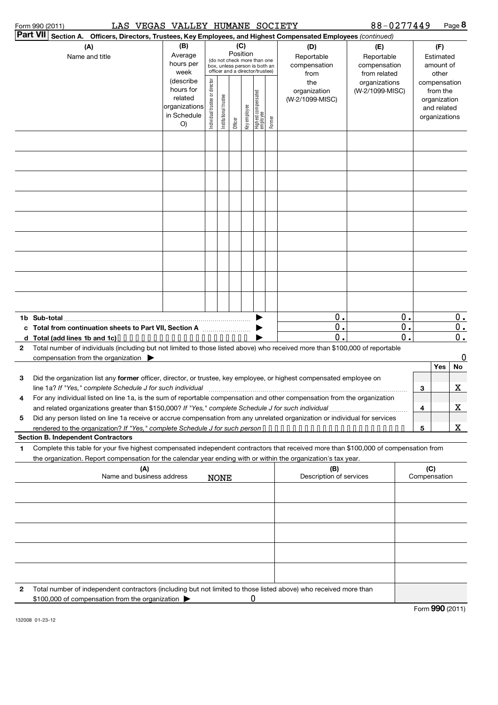| Form 990 (2011) |  |
|-----------------|--|
|-----------------|--|

Form 990 (2011) Page LAS VEGAS VALLEY HUMANE SOCIETY 88-0277449

EXAMPLE 288-0277449 Page 8

|   | Part VII Section A. Officers, Directors, Trustees, Key Employees, and Highest Compensated Employees (continued)                                                                                                                                        |                              |                                |                       |          |              |                                                                  |        |                         |                               |               |     |                       |             |
|---|--------------------------------------------------------------------------------------------------------------------------------------------------------------------------------------------------------------------------------------------------------|------------------------------|--------------------------------|-----------------------|----------|--------------|------------------------------------------------------------------|--------|-------------------------|-------------------------------|---------------|-----|-----------------------|-------------|
|   | (A)                                                                                                                                                                                                                                                    | (B)                          |                                |                       |          | (C)          |                                                                  |        | (D)                     | (E)                           |               |     | (F)                   |             |
|   | Name and title                                                                                                                                                                                                                                         | Average                      |                                |                       | Position |              | (do not check more than one                                      |        | Reportable              | Reportable                    |               |     | Estimated             |             |
|   |                                                                                                                                                                                                                                                        | hours per<br>week            |                                |                       |          |              | box, unless person is both an<br>officer and a director/trustee) |        | compensation            | compensation                  |               |     | amount of             |             |
|   |                                                                                                                                                                                                                                                        | (describe                    |                                |                       |          |              |                                                                  |        | from<br>the             | from related<br>organizations |               |     | other<br>compensation |             |
|   |                                                                                                                                                                                                                                                        | hours for                    | Individual trustee or director |                       |          |              |                                                                  |        | organization            | (W-2/1099-MISC)               |               |     | from the              |             |
|   |                                                                                                                                                                                                                                                        | related                      |                                |                       |          |              | Highest compensated<br>employee                                  |        | (W-2/1099-MISC)         |                               |               |     | organization          |             |
|   |                                                                                                                                                                                                                                                        | organizations<br>in Schedule |                                |                       |          |              |                                                                  |        |                         |                               |               |     | and related           |             |
|   |                                                                                                                                                                                                                                                        | O)                           |                                | Institutional trustee | Officer  | Key employee |                                                                  | Former |                         |                               |               |     | organizations         |             |
|   |                                                                                                                                                                                                                                                        |                              |                                |                       |          |              |                                                                  |        |                         |                               |               |     |                       |             |
|   |                                                                                                                                                                                                                                                        |                              |                                |                       |          |              |                                                                  |        |                         |                               |               |     |                       |             |
|   |                                                                                                                                                                                                                                                        |                              |                                |                       |          |              |                                                                  |        |                         |                               |               |     |                       |             |
|   |                                                                                                                                                                                                                                                        |                              |                                |                       |          |              |                                                                  |        |                         |                               |               |     |                       |             |
|   |                                                                                                                                                                                                                                                        |                              |                                |                       |          |              |                                                                  |        |                         |                               |               |     |                       |             |
|   |                                                                                                                                                                                                                                                        |                              |                                |                       |          |              |                                                                  |        |                         |                               |               |     |                       |             |
|   |                                                                                                                                                                                                                                                        |                              |                                |                       |          |              |                                                                  |        |                         |                               |               |     |                       |             |
|   |                                                                                                                                                                                                                                                        |                              |                                |                       |          |              |                                                                  |        |                         |                               |               |     |                       |             |
|   |                                                                                                                                                                                                                                                        |                              |                                |                       |          |              |                                                                  |        |                         |                               |               |     |                       |             |
|   |                                                                                                                                                                                                                                                        |                              |                                |                       |          |              |                                                                  |        |                         |                               |               |     |                       |             |
|   |                                                                                                                                                                                                                                                        |                              |                                |                       |          |              |                                                                  |        |                         |                               |               |     |                       |             |
|   | $\mathbf 0$ .                                                                                                                                                                                                                                          |                              |                                |                       |          |              |                                                                  |        |                         | 0.                            |               |     | $0$ .                 |             |
|   | $\mathbf 0$ .<br>c Total from continuation sheets to Part VII, Section A                                                                                                                                                                               |                              |                                |                       |          |              |                                                                  |        |                         |                               | $\mathbf 0$ . |     |                       | 0.          |
|   | d Total (add lines 1b and 1c)                                                                                                                                                                                                                          |                              |                                |                       |          |              |                                                                  |        | $\mathbf{0}$            |                               | $\mathbf{0}$  |     |                       | 0.          |
| 2 | Total number of individuals (including but not limited to those listed above) who received more than \$100,000 of reportable                                                                                                                           |                              |                                |                       |          |              |                                                                  |        |                         |                               |               |     |                       |             |
|   | compensation from the organization                                                                                                                                                                                                                     |                              |                                |                       |          |              |                                                                  |        |                         |                               |               |     |                       | $\mathbf 0$ |
|   |                                                                                                                                                                                                                                                        |                              |                                |                       |          |              |                                                                  |        |                         |                               |               |     | Yes                   | No.         |
| 3 | Did the organization list any former officer, director, or trustee, key employee, or highest compensated employee on                                                                                                                                   |                              |                                |                       |          |              |                                                                  |        |                         |                               |               |     |                       |             |
| 4 | line 1a? If "Yes," complete Schedule J for such individual                                                                                                                                                                                             |                              |                                |                       |          |              |                                                                  |        |                         |                               |               | 3   |                       | x           |
|   | For any individual listed on line 1a, is the sum of reportable compensation and other compensation from the organization                                                                                                                               |                              |                                |                       |          |              |                                                                  |        |                         |                               |               | 4   |                       | $\mathbf X$ |
| 5 | Did any person listed on line 1a receive or accrue compensation from any unrelated organization or individual for services                                                                                                                             |                              |                                |                       |          |              |                                                                  |        |                         |                               |               |     |                       |             |
|   |                                                                                                                                                                                                                                                        |                              |                                |                       |          |              |                                                                  |        |                         |                               |               | 5   |                       | X           |
|   | <b>Section B. Independent Contractors</b>                                                                                                                                                                                                              |                              |                                |                       |          |              |                                                                  |        |                         |                               |               |     |                       |             |
| 1 | Complete this table for your five highest compensated independent contractors that received more than \$100,000 of compensation from<br>the organization. Report compensation for the calendar year ending with or within the organization's tax year. |                              |                                |                       |          |              |                                                                  |        |                         |                               |               |     |                       |             |
|   | (A)                                                                                                                                                                                                                                                    |                              |                                |                       |          |              |                                                                  |        | (B)                     |                               |               | (C) |                       |             |
|   | Name and business address                                                                                                                                                                                                                              |                              |                                | <b>NONE</b>           |          |              |                                                                  |        | Description of services |                               |               |     | Compensation          |             |
|   |                                                                                                                                                                                                                                                        |                              |                                |                       |          |              |                                                                  |        |                         |                               |               |     |                       |             |
|   |                                                                                                                                                                                                                                                        |                              |                                |                       |          |              |                                                                  |        |                         |                               |               |     |                       |             |
|   |                                                                                                                                                                                                                                                        |                              |                                |                       |          |              |                                                                  |        |                         |                               |               |     |                       |             |
|   |                                                                                                                                                                                                                                                        |                              |                                |                       |          |              |                                                                  |        |                         |                               |               |     |                       |             |
|   |                                                                                                                                                                                                                                                        |                              |                                |                       |          |              |                                                                  |        |                         |                               |               |     |                       |             |
| 2 | Total number of independent contractors (including but not limited to those listed above) who received more than                                                                                                                                       |                              |                                |                       |          |              |                                                                  |        |                         |                               |               |     |                       |             |
|   | \$100,000 of compensation from the organization                                                                                                                                                                                                        |                              |                                |                       |          |              | 0                                                                |        |                         |                               |               |     |                       |             |

132008 01-23-12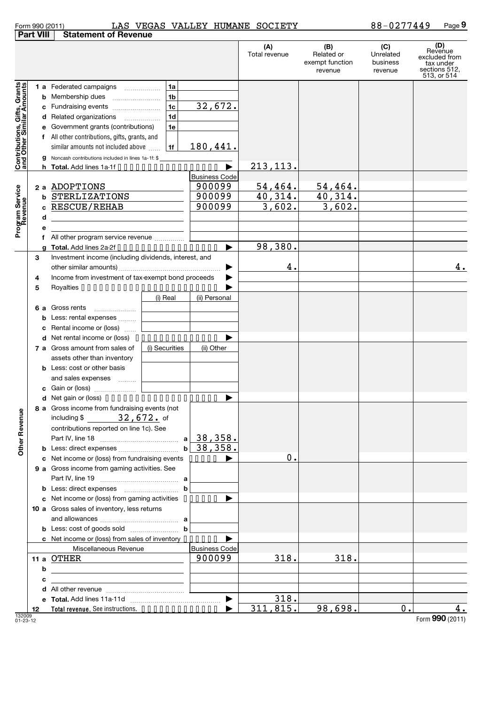|  | Form 990 (2011) |
|--|-----------------|
|  |                 |

#### Form 990 (2011) LAS VEGAS VALLEY HUMANE SOCIETY 88-0 277449 Page LAS VEGAS VALLEY HUMANE SOCIETY 88-0277449

|                                                           | <b>Part VIII</b> | <b>Statement of Revenue</b>                                                      |                     |                      |                      |                                                 |                                         |                                                                              |
|-----------------------------------------------------------|------------------|----------------------------------------------------------------------------------|---------------------|----------------------|----------------------|-------------------------------------------------|-----------------------------------------|------------------------------------------------------------------------------|
|                                                           |                  |                                                                                  |                     |                      | (A)<br>Total revenue | (B)<br>Related or<br>exempt function<br>revenue | (C)<br>Unrelated<br>business<br>revenue | (D)<br>Revenue<br>excluded from<br>tax under<br>sections 512,<br>513, or 514 |
| Contributions, Gifts, Grants<br>and Other Similar Amounts |                  | <b>1 a</b> Federated campaigns                                                   | 1a                  |                      |                      |                                                 |                                         |                                                                              |
|                                                           | b                | Membership dues                                                                  | 1 <sub>b</sub>      |                      |                      |                                                 |                                         |                                                                              |
|                                                           | с                | Fundraising events                                                               | 1 <sub>c</sub>      | 32,672.              |                      |                                                 |                                         |                                                                              |
|                                                           | d                | Related organizations                                                            | 1 <sub>d</sub><br>. |                      |                      |                                                 |                                         |                                                                              |
|                                                           | е                | Government grants (contributions)<br>All other contributions, gifts, grants, and | 1e                  |                      |                      |                                                 |                                         |                                                                              |
|                                                           | f                | similar amounts not included above                                               | 1f                  | 180,441.             |                      |                                                 |                                         |                                                                              |
|                                                           | g                | Noncash contributions included in lines 1a-1f: \$                                |                     |                      |                      |                                                 |                                         |                                                                              |
|                                                           | h.               |                                                                                  |                     |                      | 213, 113.            |                                                 |                                         |                                                                              |
|                                                           |                  |                                                                                  |                     | <b>Business Code</b> |                      |                                                 |                                         |                                                                              |
|                                                           |                  | 2 a ADOPTIONS                                                                    |                     | 900099               | 54, 464.             |                                                 |                                         |                                                                              |
|                                                           | b                | STERLIZATIONS                                                                    |                     | 900099               | 40,314.              | $\frac{54,464.}{40,314.}$                       |                                         |                                                                              |
|                                                           |                  | <b>RESCUE/REHAB</b>                                                              |                     | 900099               | 3,602.               | 3,602.                                          |                                         |                                                                              |
|                                                           | d                |                                                                                  |                     |                      |                      |                                                 |                                         |                                                                              |
| Program Service<br>Revenue                                |                  |                                                                                  |                     |                      |                      |                                                 |                                         |                                                                              |
|                                                           |                  | All other program service revenue                                                |                     |                      |                      |                                                 |                                         |                                                                              |
|                                                           |                  | Total. Add lines 2a-2f                                                           |                     |                      | 98,380.              |                                                 |                                         |                                                                              |
|                                                           | 3                | Investment income (including dividends, interest, and                            |                     |                      |                      |                                                 |                                         |                                                                              |
|                                                           |                  |                                                                                  |                     |                      | 4.                   |                                                 |                                         | 4.                                                                           |
|                                                           | 4                | Income from investment of tax-exempt bond proceeds                               |                     |                      |                      |                                                 |                                         |                                                                              |
|                                                           | 5                |                                                                                  | (i) Real            | (ii) Personal        |                      |                                                 |                                         |                                                                              |
|                                                           | 6а               | Gross rents                                                                      |                     |                      |                      |                                                 |                                         |                                                                              |
|                                                           | b                | Less: rental expenses                                                            |                     |                      |                      |                                                 |                                         |                                                                              |
|                                                           |                  | Rental income or (loss)                                                          |                     |                      |                      |                                                 |                                         |                                                                              |
|                                                           |                  | Net rental income or (loss)                                                      |                     |                      |                      |                                                 |                                         |                                                                              |
|                                                           |                  | 7 a Gross amount from sales of                                                   | (i) Securities      | (ii) Other           |                      |                                                 |                                         |                                                                              |
|                                                           |                  | assets other than inventory                                                      |                     |                      |                      |                                                 |                                         |                                                                              |
|                                                           |                  | <b>b</b> Less: cost or other basis                                               |                     |                      |                      |                                                 |                                         |                                                                              |
|                                                           |                  | and sales expenses<br>$\overline{\phantom{a}}$                                   |                     |                      |                      |                                                 |                                         |                                                                              |
|                                                           |                  |                                                                                  |                     |                      |                      |                                                 |                                         |                                                                              |
|                                                           |                  |                                                                                  |                     | ▶                    |                      |                                                 |                                         |                                                                              |
|                                                           |                  | 8 a Gross income from fundraising events (not                                    |                     |                      |                      |                                                 |                                         |                                                                              |
|                                                           |                  | including \$ $32,672$ . of                                                       |                     |                      |                      |                                                 |                                         |                                                                              |
| Other Revenue                                             |                  | contributions reported on line 1c). See                                          |                     |                      |                      |                                                 |                                         |                                                                              |
|                                                           |                  | <b>b</b> Less: direct expenses                                                   |                     | $b$ 38,358.          |                      |                                                 |                                         |                                                                              |
|                                                           |                  | c Net income or (loss) from fundraising events ••••••                            |                     |                      | 0.                   |                                                 |                                         |                                                                              |
|                                                           |                  | 9 a Gross income from gaming activities. See                                     |                     |                      |                      |                                                 |                                         |                                                                              |
|                                                           |                  |                                                                                  |                     |                      |                      |                                                 |                                         |                                                                              |
|                                                           |                  |                                                                                  | b                   |                      |                      |                                                 |                                         |                                                                              |
|                                                           |                  | c Net income or (loss) from gaming activities  >                                 |                     |                      |                      |                                                 |                                         |                                                                              |
|                                                           |                  | 10 a Gross sales of inventory, less returns                                      |                     |                      |                      |                                                 |                                         |                                                                              |
|                                                           |                  |                                                                                  |                     |                      |                      |                                                 |                                         |                                                                              |
|                                                           |                  |                                                                                  |                     |                      |                      |                                                 |                                         |                                                                              |
|                                                           |                  | c Net income or (loss) from sales of inventory $\cdots$                          |                     |                      |                      |                                                 |                                         |                                                                              |
|                                                           |                  | Miscellaneous Revenue                                                            |                     | <b>Business Code</b> |                      |                                                 |                                         |                                                                              |
|                                                           |                  | 11 a OTHER                                                                       |                     | 900099               | 318.                 | 318.                                            |                                         |                                                                              |
|                                                           | b                |                                                                                  |                     |                      |                      |                                                 |                                         |                                                                              |
|                                                           | с                | <u> 1989 - John Stein, mars and de Brazilian (b. 1989)</u>                       |                     |                      |                      |                                                 |                                         |                                                                              |
|                                                           |                  |                                                                                  |                     |                      | 318.                 |                                                 |                                         |                                                                              |
|                                                           | 12               |                                                                                  |                     |                      | 311,815.             | 98,698.                                         | 0.                                      | 4.                                                                           |
|                                                           |                  |                                                                                  |                     |                      |                      |                                                 |                                         |                                                                              |

132009 01-23-12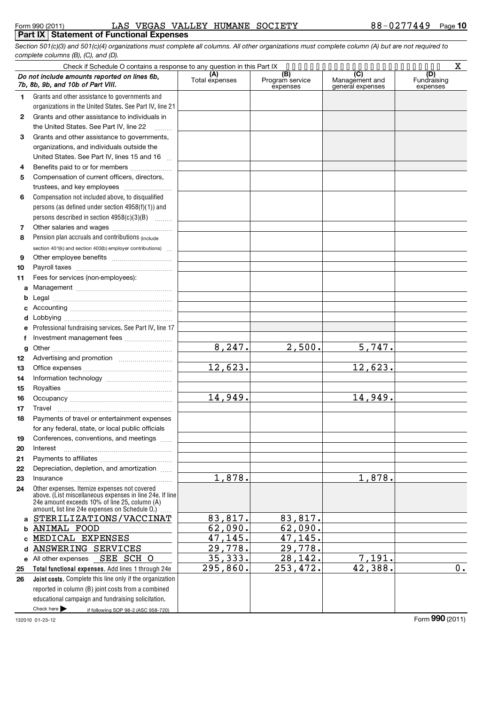*Section 501(c)(3) and 501(c)(4) organizations must complete all columns. All other organizations must complete column (A) but are not required to complete columns (B), (C), and (D).*

|              |                                                                                                                                                                                                             |                       |                                    | X                                         |                                |  |
|--------------|-------------------------------------------------------------------------------------------------------------------------------------------------------------------------------------------------------------|-----------------------|------------------------------------|-------------------------------------------|--------------------------------|--|
|              | Do not include amounts reported on lines 6b.<br>7b, 8b, 9b, and 10b of Part VIII.                                                                                                                           | (A)<br>Total expenses | (B)<br>Program service<br>expenses | (C)<br>Management and<br>general expenses | (D)<br>Fundraising<br>expenses |  |
| 1.           | Grants and other assistance to governments and                                                                                                                                                              |                       |                                    |                                           |                                |  |
|              | organizations in the United States. See Part IV, line 21                                                                                                                                                    |                       |                                    |                                           |                                |  |
| $\mathbf{2}$ | Grants and other assistance to individuals in                                                                                                                                                               |                       |                                    |                                           |                                |  |
|              | the United States. See Part IV, line 22                                                                                                                                                                     |                       |                                    |                                           |                                |  |
| 3            | Grants and other assistance to governments,                                                                                                                                                                 |                       |                                    |                                           |                                |  |
|              | organizations, and individuals outside the                                                                                                                                                                  |                       |                                    |                                           |                                |  |
|              | United States. See Part IV, lines 15 and 16<br>$\mathbf{r}$                                                                                                                                                 |                       |                                    |                                           |                                |  |
| 4            | Benefits paid to or for members                                                                                                                                                                             |                       |                                    |                                           |                                |  |
| 5            | Compensation of current officers, directors,                                                                                                                                                                |                       |                                    |                                           |                                |  |
|              | trustees, and key employees                                                                                                                                                                                 |                       |                                    |                                           |                                |  |
| 6            | Compensation not included above, to disqualified                                                                                                                                                            |                       |                                    |                                           |                                |  |
|              | persons (as defined under section 4958(f)(1)) and                                                                                                                                                           |                       |                                    |                                           |                                |  |
|              | persons described in section $4958(c)(3)(B)$                                                                                                                                                                |                       |                                    |                                           |                                |  |
| 7            | Other salaries and wages                                                                                                                                                                                    |                       |                                    |                                           |                                |  |
| 8            | Pension plan accruals and contributions (include                                                                                                                                                            |                       |                                    |                                           |                                |  |
|              | section 401(k) and section 403(b) employer contributions)                                                                                                                                                   |                       |                                    |                                           |                                |  |
| 9            |                                                                                                                                                                                                             |                       |                                    |                                           |                                |  |
| 10           |                                                                                                                                                                                                             |                       |                                    |                                           |                                |  |
| 11           | Fees for services (non-employees):                                                                                                                                                                          |                       |                                    |                                           |                                |  |
| a            |                                                                                                                                                                                                             |                       |                                    |                                           |                                |  |
| b            |                                                                                                                                                                                                             |                       |                                    |                                           |                                |  |
| c            |                                                                                                                                                                                                             |                       |                                    |                                           |                                |  |
| d            |                                                                                                                                                                                                             |                       |                                    |                                           |                                |  |
| е            | Professional fundraising services. See Part IV, line 17                                                                                                                                                     |                       |                                    |                                           |                                |  |
| f            | Investment management fees                                                                                                                                                                                  |                       |                                    |                                           |                                |  |
| g            |                                                                                                                                                                                                             | 8, 247.               | 2,500.                             | 5,747.                                    |                                |  |
| 12           |                                                                                                                                                                                                             |                       |                                    |                                           |                                |  |
| 13           |                                                                                                                                                                                                             | 12,623.               |                                    | 12,623.                                   |                                |  |
| 14           |                                                                                                                                                                                                             |                       |                                    |                                           |                                |  |
| 15           |                                                                                                                                                                                                             |                       |                                    |                                           |                                |  |
| 16           |                                                                                                                                                                                                             | 14,949.               |                                    | 14,949.                                   |                                |  |
| 17           |                                                                                                                                                                                                             |                       |                                    |                                           |                                |  |
| 18           | Payments of travel or entertainment expenses                                                                                                                                                                |                       |                                    |                                           |                                |  |
|              | for any federal, state, or local public officials                                                                                                                                                           |                       |                                    |                                           |                                |  |
| 19           | Conferences, conventions, and meetings                                                                                                                                                                      |                       |                                    |                                           |                                |  |
| 20           | Interest                                                                                                                                                                                                    |                       |                                    |                                           |                                |  |
| 21           |                                                                                                                                                                                                             |                       |                                    |                                           |                                |  |
| 22           | Depreciation, depletion, and amortization                                                                                                                                                                   |                       |                                    |                                           |                                |  |
| 23           | Insurance                                                                                                                                                                                                   | 1,878.                |                                    | 1,878.                                    |                                |  |
| 24           | Other expenses. Itemize expenses not covered<br>above. (List miscellaneous expenses in line 24e. If line<br>24e amount exceeds 10% of line 25, column (A)<br>amount, list line 24e expenses on Schedule O.) |                       |                                    |                                           |                                |  |
| a            | STERILIZATIONS/VACCINAT                                                                                                                                                                                     | 83,817.               | 83,817.                            |                                           |                                |  |
| b            | <b>ANIMAL FOOD</b>                                                                                                                                                                                          | 62,090.               | 62,090.                            |                                           |                                |  |
| c            | MEDICAL EXPENSES                                                                                                                                                                                            | 47,145.               | 47,145.                            |                                           |                                |  |
| d            | ANSWERING SERVICES                                                                                                                                                                                          | 29,778.               | 29,778.                            |                                           |                                |  |
|              | SEE SCH O<br>e All other expenses                                                                                                                                                                           | 35, 333.              | 28,142.                            | 7,191.                                    |                                |  |
| 25           | Total functional expenses. Add lines 1 through 24e                                                                                                                                                          | 295,860.              | 253,472.                           | 42,388.                                   | $0$ .                          |  |
| 26           | Joint costs. Complete this line only if the organization                                                                                                                                                    |                       |                                    |                                           |                                |  |
|              | reported in column (B) joint costs from a combined                                                                                                                                                          |                       |                                    |                                           |                                |  |
|              | educational campaign and fundraising solicitation.                                                                                                                                                          |                       |                                    |                                           |                                |  |
|              | Check here $\blacktriangleright$<br>if following SOP 98-2 (ASC 958-720)                                                                                                                                     |                       |                                    |                                           |                                |  |

132010 01-23-12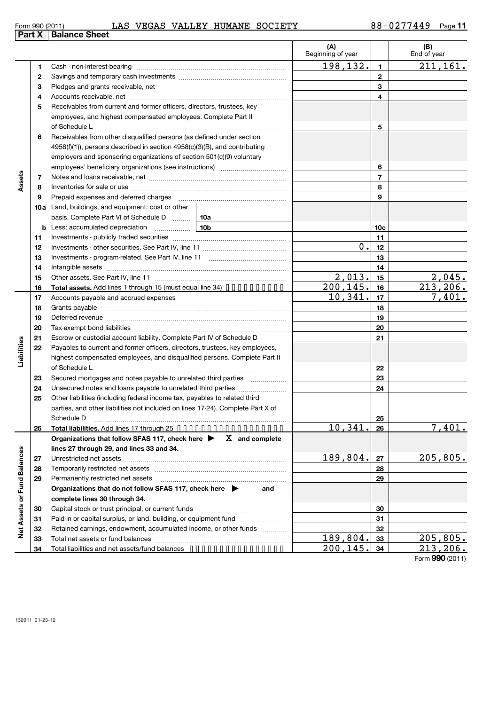|           |  | AN VEGAN VALLEI HUMANE NOCIEII |  |
|-----------|--|--------------------------------|--|
| าce Sheet |  |                                |  |
|           |  |                                |  |

|                             |          |                                                                                                                     |          | (A)<br>Beginning of year |                 | (B)<br>End of year |
|-----------------------------|----------|---------------------------------------------------------------------------------------------------------------------|----------|--------------------------|-----------------|--------------------|
|                             | 1        |                                                                                                                     |          | 198,132.                 | 1               | 211, 161.          |
|                             | 2        |                                                                                                                     |          |                          | $\mathbf{2}$    |                    |
|                             | з        |                                                                                                                     |          |                          | 3               |                    |
|                             | 4        |                                                                                                                     |          |                          | 4               |                    |
|                             | 5        | Receivables from current and former officers, directors, trustees, key                                              |          |                          |                 |                    |
|                             |          | employees, and highest compensated employees. Complete Part II                                                      |          |                          |                 |                    |
|                             |          | of Schedule L                                                                                                       |          |                          | 5               |                    |
|                             | 6        | Receivables from other disqualified persons (as defined under section                                               |          |                          |                 |                    |
|                             |          | $4958(f)(1)$ , persons described in section $4958(c)(3)(B)$ , and contributing                                      |          |                          |                 |                    |
|                             |          | employers and sponsoring organizations of section 501(c)(9) voluntary                                               |          |                          |                 |                    |
|                             |          | employees' beneficiary organizations (see instructions) <i>manual contentions</i>                                   |          |                          | 6               |                    |
| Assets                      | 7        |                                                                                                                     |          |                          | $\overline{7}$  |                    |
|                             | 8        |                                                                                                                     |          |                          | 8               |                    |
|                             | 9        | Prepaid expenses and deferred charges                                                                               |          |                          | 9               |                    |
|                             |          | <b>10a</b> Land, buildings, and equipment: cost or other                                                            |          |                          |                 |                    |
|                             |          | basis. Complete Part VI of Schedule D  10a                                                                          |          |                          |                 |                    |
|                             | b        | Less: accumulated depreciation<br>10b                                                                               |          |                          | 10c             |                    |
|                             | 11       |                                                                                                                     |          |                          | 11              |                    |
|                             | 12       |                                                                                                                     |          | 0.                       | 12              |                    |
|                             | 13       |                                                                                                                     |          | 13                       |                 |                    |
|                             | 14       |                                                                                                                     |          | 14                       |                 |                    |
|                             | 15       |                                                                                                                     |          | 2,013.                   | 15              | 2,045.             |
|                             | 16       | Total assets. Add lines 1 through 15 (must equal line 34) •••••••••••                                               |          | 200,145.                 | 16              | 213,206.           |
|                             | 17       |                                                                                                                     |          | 10,341.                  | 17              | 7,401.             |
|                             | 18       |                                                                                                                     |          | 18                       |                 |                    |
|                             | 19       | Deferred revenue manual contracts and contracts are all the manual contracts and contracts are all the contracts of |          | 19                       |                 |                    |
|                             | 20       |                                                                                                                     |          | 20                       |                 |                    |
|                             | 21       | Escrow or custodial account liability. Complete Part IV of Schedule D                                               |          |                          | 21              |                    |
|                             | 22       | Payables to current and former officers, directors, trustees, key employees,                                        |          |                          |                 |                    |
| Liabilities                 |          | highest compensated employees, and disqualified persons. Complete Part II                                           |          |                          |                 |                    |
|                             |          | of Schedule L                                                                                                       |          |                          | 22              |                    |
|                             | 23       | Secured mortgages and notes payable to unrelated third parties                                                      |          |                          | 23              |                    |
|                             | 24       | Unsecured notes and loans payable to unrelated third parties                                                        |          |                          | 24              |                    |
|                             | 25       | Other liabilities (including federal income tax, payables to related third                                          |          |                          |                 |                    |
|                             |          | parties, and other liabilities not included on lines 17-24). Complete Part X of                                     |          |                          |                 |                    |
|                             |          | Schedule D                                                                                                          |          |                          | <u>25</u>       |                    |
|                             | 26       | Total liabilities. Add lines 17 through 25                                                                          |          | 10,341                   | 26              | 7,401.             |
|                             |          | Organizations that follow SFAS 117, check here $\blacktriangleright$ $X$ and complete                               |          |                          |                 |                    |
|                             |          | lines 27 through 29, and lines 33 and 34.                                                                           |          |                          |                 |                    |
|                             | 27       |                                                                                                                     |          | 189,804.                 | 27              | 205,805.           |
|                             | 28       |                                                                                                                     |          |                          | 28              |                    |
|                             | 29       | Permanently restricted net assets                                                                                   |          |                          | 29              |                    |
|                             |          | Organizations that do not follow SFAS 117, check here $\blacktriangleright$                                         | and      |                          |                 |                    |
|                             |          | complete lines 30 through 34.                                                                                       |          | 30                       |                 |                    |
|                             | 30       | Paid-in or capital surplus, or land, building, or equipment fund                                                    |          |                          | 31              |                    |
| Net Assets or Fund Balances | 31<br>32 | Retained earnings, endowment, accumulated income, or other funds                                                    |          |                          | 32              |                    |
|                             | 33       |                                                                                                                     | 189,804. | 33                       | <u>205,805.</u> |                    |
|                             | 34       | Total liabilities and net assets/fund balances                                                                      |          | 200,145                  | 34              | 213,206.           |
|                             |          |                                                                                                                     |          |                          |                 |                    |

Form **990** (2011)

# **Part X Balar**

 $\overline{\phantom{0}}$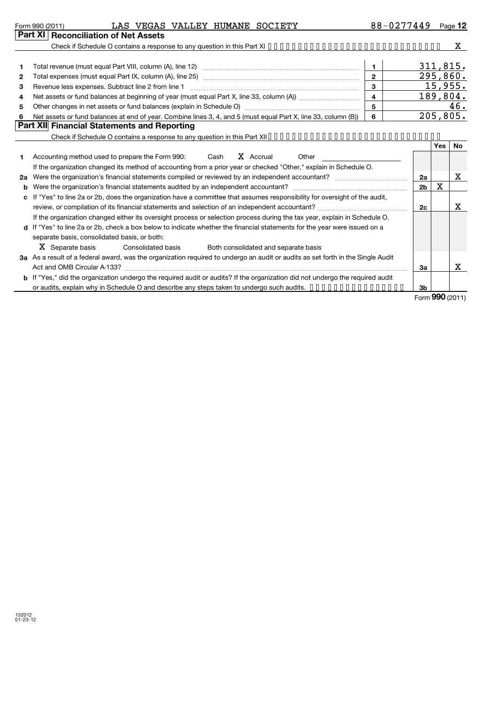| Form 990 (2011)                        | LAS |  | VEGAS VALLEY HUMANE SOCIETY | 88-0277449 | Page 12 |
|----------------------------------------|-----|--|-----------------------------|------------|---------|
| Part XI   Reconciliation of Net Assets |     |  |                             |            |         |

**2 a** Were the organization's financial statements compiled or reviewed by an independent accountant? ~~~~~~~~~~~~

**b** Were the organization's financial statements audited by an independent accountant? \_\_\_\_\_\_\_\_\_\_\_\_\_\_\_\_\_\_\_\_\_\_\_\_\_\_\_\_\_\_\_ **c** If "Yes" to line 2a or 2b, does the organization have a committee that assumes responsibility for oversight of the audit,

review, or compilation of its financial statements and selection of an independent accountant? ~~~~~~~~~~~~~~~ If the organization changed either its oversight process or selection process during the tax year, explain in Schedule O.

Consolidated basis Both consolidated and separate basis

Act and OMB Circular A-133? ~~~~~~~~~~~~~~~~~~~~~~~~~~~~~~~~~~~~~~~~~~~~~~~

**3 a** As a result of a federal award, was the organization required to undergo an audit or audits as set forth in the Single Audit

**b** If "Yes," did the organization undergo the required audit or audits? If the organization did not undergo the required audit

or audits, explain why in Schedule O and describe any steps taken to undergo such audits. ••••••••••••••••

**d** If "Yes" to line 2a or 2b, check a box below to indicate whether the financial statements for the year were issued on a

separate basis, consolidated basis, or both:

X Separate basis

X

X

X

X

**2a 2b**

X

**2c**

**3a**

**3b**

|              | Check if Schedule O contains a response to any question in this Part XI $\dots \dots \dots \dots \dots \dots \dots \dots \dots \dots \dots \dots$ |              |          |          |
|--------------|---------------------------------------------------------------------------------------------------------------------------------------------------|--------------|----------|----------|
|              |                                                                                                                                                   |              |          |          |
| 1            |                                                                                                                                                   |              |          | 311,815. |
| $\mathbf{2}$ |                                                                                                                                                   | $\mathbf{2}$ | 295,860. |          |
| 3            | Revenue less expenses. Subtract line 2 from line 1                                                                                                | з            |          | 15,955.  |
| 4            |                                                                                                                                                   | 4            |          | 189,804. |
| 5            | Other changes in net assets or fund balances (explain in Schedule O) manufactured controller than general controller                              | 5            |          | 46.      |
| 6            | Net assets or fund balances at end of year. Combine lines 3, 4, and 5 (must equal Part X, line 33, column (B))                                    | 6            |          | 205,805. |
|              | Part XII Financial Statements and Reporting                                                                                                       |              |          |          |
|              | Check if Schedule O contains a response to any question in this Part XII                                                                          |              |          |          |
|              |                                                                                                                                                   |              | Yes      | No.      |
|              | X Accrual<br>Accounting method used to prepare the Form 990:<br>Cash<br>Other                                                                     |              |          |          |
|              | If the organization changed its method of accounting from a prior year or checked "Other," explain in Schedule O.                                 |              |          |          |

Form (2011) **990**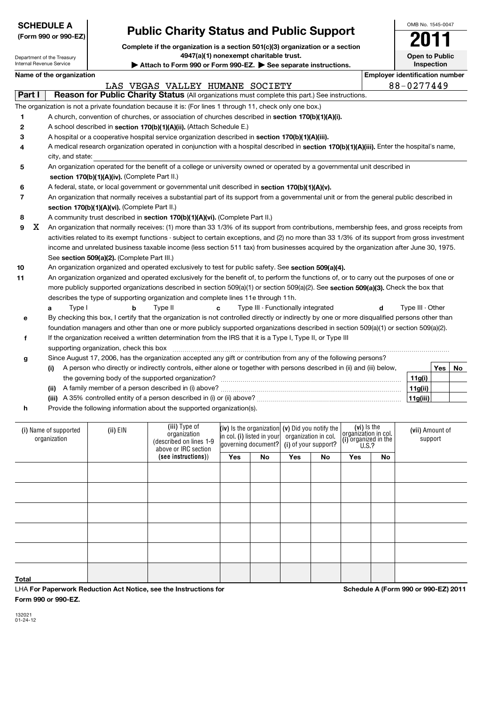| <b>SCHEDULE A</b> |  |
|-------------------|--|
|                   |  |

#### **(Form 990 or**

| <b>SCHEDULE A</b><br>(Form 990 or 990-EZ) |                            | <b>Public Charity Status and Public Support</b><br>Complete if the organization is a section 501(c)(3) organization or a section |                                                                                                                                                                                                                                            |     |                                                 |     |                      |     |                                     |                                       | OMB No. 1545-0047 |    |
|-------------------------------------------|----------------------------|----------------------------------------------------------------------------------------------------------------------------------|--------------------------------------------------------------------------------------------------------------------------------------------------------------------------------------------------------------------------------------------|-----|-------------------------------------------------|-----|----------------------|-----|-------------------------------------|---------------------------------------|-------------------|----|
|                                           |                            |                                                                                                                                  |                                                                                                                                                                                                                                            |     |                                                 |     |                      |     |                                     |                                       |                   |    |
| Internal Revenue Service                  | Department of the Treasury |                                                                                                                                  | 4947(a)(1) nonexempt charitable trust.<br>Attach to Form 990 or Form 990-EZ. See separate instructions.                                                                                                                                    |     |                                                 |     |                      |     |                                     | <b>Open to Public</b>                 | Inspection        |    |
|                                           | Name of the organization   |                                                                                                                                  |                                                                                                                                                                                                                                            |     |                                                 |     |                      |     |                                     | <b>Employer identification number</b> |                   |    |
|                                           |                            |                                                                                                                                  | LAS VEGAS VALLEY HUMANE SOCIETY                                                                                                                                                                                                            |     |                                                 |     |                      |     |                                     | 88-0277449                            |                   |    |
| Part I                                    |                            |                                                                                                                                  | Reason for Public Charity Status (All organizations must complete this part.) See instructions.                                                                                                                                            |     |                                                 |     |                      |     |                                     |                                       |                   |    |
|                                           |                            |                                                                                                                                  | The organization is not a private foundation because it is: (For lines 1 through 11, check only one box.)                                                                                                                                  |     |                                                 |     |                      |     |                                     |                                       |                   |    |
| 1                                         |                            |                                                                                                                                  | A church, convention of churches, or association of churches described in section 170(b)(1)(A)(i).                                                                                                                                         |     |                                                 |     |                      |     |                                     |                                       |                   |    |
| 2                                         |                            |                                                                                                                                  | A school described in section 170(b)(1)(A)(ii). (Attach Schedule E.)                                                                                                                                                                       |     |                                                 |     |                      |     |                                     |                                       |                   |    |
| 3                                         |                            |                                                                                                                                  | A hospital or a cooperative hospital service organization described in section 170(b)(1)(A)(iii).                                                                                                                                          |     |                                                 |     |                      |     |                                     |                                       |                   |    |
| 4                                         |                            |                                                                                                                                  | A medical research organization operated in conjunction with a hospital described in section 170(b)(1)(A)(iii). Enter the hospital's name,                                                                                                 |     |                                                 |     |                      |     |                                     |                                       |                   |    |
|                                           | city, and state:           |                                                                                                                                  |                                                                                                                                                                                                                                            |     |                                                 |     |                      |     |                                     |                                       |                   |    |
| 5                                         |                            |                                                                                                                                  | An organization operated for the benefit of a college or university owned or operated by a governmental unit described in                                                                                                                  |     |                                                 |     |                      |     |                                     |                                       |                   |    |
|                                           |                            | section 170(b)(1)(A)(iv). (Complete Part II.)                                                                                    |                                                                                                                                                                                                                                            |     |                                                 |     |                      |     |                                     |                                       |                   |    |
| 6                                         |                            |                                                                                                                                  | A federal, state, or local government or governmental unit described in section 170(b)(1)(A)(v).                                                                                                                                           |     |                                                 |     |                      |     |                                     |                                       |                   |    |
| 7                                         |                            |                                                                                                                                  | An organization that normally receives a substantial part of its support from a governmental unit or from the general public described in                                                                                                  |     |                                                 |     |                      |     |                                     |                                       |                   |    |
|                                           |                            | section 170(b)(1)(A)(vi). (Complete Part II.)                                                                                    |                                                                                                                                                                                                                                            |     |                                                 |     |                      |     |                                     |                                       |                   |    |
| 8                                         |                            |                                                                                                                                  | A community trust described in section 170(b)(1)(A)(vi). (Complete Part II.)                                                                                                                                                               |     |                                                 |     |                      |     |                                     |                                       |                   |    |
| x<br>9                                    |                            |                                                                                                                                  | An organization that normally receives: (1) more than 33 1/3% of its support from contributions, membership fees, and gross receipts from                                                                                                  |     |                                                 |     |                      |     |                                     |                                       |                   |    |
|                                           |                            |                                                                                                                                  | activities related to its exempt functions - subject to certain exceptions, and (2) no more than 33 1/3% of its support from gross investment                                                                                              |     |                                                 |     |                      |     |                                     |                                       |                   |    |
|                                           |                            |                                                                                                                                  | income and unrelated business taxable income (less section 511 tax) from businesses acquired by the organization after June 30, 1975.                                                                                                      |     |                                                 |     |                      |     |                                     |                                       |                   |    |
|                                           |                            | See section 509(a)(2). (Complete Part III.)                                                                                      |                                                                                                                                                                                                                                            |     |                                                 |     |                      |     |                                     |                                       |                   |    |
| 10                                        |                            |                                                                                                                                  | An organization organized and operated exclusively to test for public safety. See section 509(a)(4).                                                                                                                                       |     |                                                 |     |                      |     |                                     |                                       |                   |    |
| 11                                        |                            |                                                                                                                                  | An organization organized and operated exclusively for the benefit of, to perform the functions of, or to carry out the purposes of one or                                                                                                 |     |                                                 |     |                      |     |                                     |                                       |                   |    |
|                                           |                            |                                                                                                                                  | more publicly supported organizations described in section 509(a)(1) or section 509(a)(2). See section 509(a)(3). Check the box that                                                                                                       |     |                                                 |     |                      |     |                                     |                                       |                   |    |
|                                           |                            |                                                                                                                                  | describes the type of supporting organization and complete lines 11e through 11h.                                                                                                                                                          |     |                                                 |     |                      |     |                                     |                                       |                   |    |
|                                           | Type I<br>a                | b                                                                                                                                | Type II<br>c                                                                                                                                                                                                                               |     | Type III - Functionally integrated              |     |                      |     | d                                   | Type III - Other                      |                   |    |
| е                                         |                            |                                                                                                                                  | By checking this box, I certify that the organization is not controlled directly or indirectly by one or more disqualified persons other than                                                                                              |     |                                                 |     |                      |     |                                     |                                       |                   |    |
|                                           |                            |                                                                                                                                  | foundation managers and other than one or more publicly supported organizations described in section 509(a)(1) or section 509(a)(2).                                                                                                       |     |                                                 |     |                      |     |                                     |                                       |                   |    |
| f                                         |                            |                                                                                                                                  | If the organization received a written determination from the IRS that it is a Type I, Type II, or Type III                                                                                                                                |     |                                                 |     |                      |     |                                     |                                       |                   |    |
|                                           |                            | supporting organization, check this box                                                                                          |                                                                                                                                                                                                                                            |     |                                                 |     |                      |     |                                     |                                       |                   |    |
| g                                         |                            |                                                                                                                                  | Since August 17, 2006, has the organization accepted any gift or contribution from any of the following persons?<br>A person who directly or indirectly controls, either alone or together with persons described in (ii) and (iii) below, |     |                                                 |     |                      |     |                                     |                                       | Yes               |    |
|                                           | (i)                        |                                                                                                                                  | the governing body of the supported organization?                                                                                                                                                                                          |     |                                                 |     |                      |     |                                     | 11g(i)                                |                   | No |
|                                           |                            |                                                                                                                                  |                                                                                                                                                                                                                                            |     |                                                 |     |                      |     |                                     | 11g(ii)                               |                   |    |
|                                           |                            |                                                                                                                                  |                                                                                                                                                                                                                                            |     |                                                 |     |                      |     |                                     | 11g(iii)                              |                   |    |
| h                                         |                            |                                                                                                                                  | Provide the following information about the supported organization(s).                                                                                                                                                                     |     |                                                 |     |                      |     |                                     |                                       |                   |    |
|                                           |                            |                                                                                                                                  |                                                                                                                                                                                                                                            |     |                                                 |     |                      |     |                                     |                                       |                   |    |
|                                           | (i) Name of supported      | (ii) EIN                                                                                                                         | (iii) Type of                                                                                                                                                                                                                              |     | (iv) Is the organization (v) Did you notify the |     |                      |     | (vi) Is the<br>organization in col. | (vii) Amount of                       |                   |    |
|                                           | organization               |                                                                                                                                  | organization<br>(described on lines 1-9                                                                                                                                                                                                    |     | in col. (i) listed in your                      |     | organization in col. |     | (i) organized in the                |                                       | support           |    |
|                                           |                            |                                                                                                                                  | above or IRC section                                                                                                                                                                                                                       |     | governing document?                             |     | (i) of your support? |     | U.S.?                               |                                       |                   |    |
|                                           |                            |                                                                                                                                  | (see instructions))                                                                                                                                                                                                                        | Yes | No                                              | Yes | No                   | Yes | No                                  |                                       |                   |    |

**Total**

LHA **For Paperwork Reduction Act Notice, see the Instructions for Form 990 or 990-EZ.**

**Schedule A (Form 990 or 990-EZ) 2011**

132021 01-24-12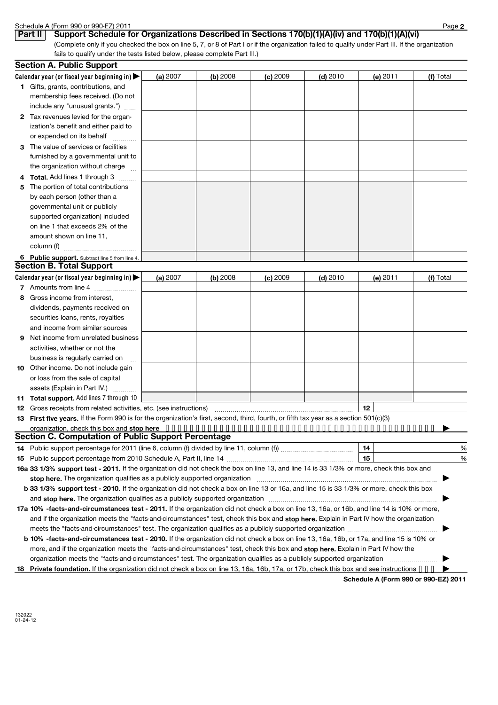|              | Schedule A (Form 990 or 990-EZ) 2011                                                                                                                                                                                          |          |            |            |            |                                      | Page 2    |
|--------------|-------------------------------------------------------------------------------------------------------------------------------------------------------------------------------------------------------------------------------|----------|------------|------------|------------|--------------------------------------|-----------|
|              | Support Schedule for Organizations Described in Sections 170(b)(1)(A)(iv) and 170(b)(1)(A)(vi)<br>Part II                                                                                                                     |          |            |            |            |                                      |           |
|              | (Complete only if you checked the box on line 5, 7, or 8 of Part I or if the organization failed to qualify under Part III. If the organization                                                                               |          |            |            |            |                                      |           |
|              | fails to qualify under the tests listed below, please complete Part III.)                                                                                                                                                     |          |            |            |            |                                      |           |
|              | <b>Section A. Public Support</b>                                                                                                                                                                                              |          |            |            |            |                                      |           |
|              | Calendar year (or fiscal year beginning in)                                                                                                                                                                                   | (a) 2007 | $(b)$ 2008 | (c) 2009   | (d) $2010$ | (e) 2011                             | (f) Total |
|              | 1 Gifts, grants, contributions, and                                                                                                                                                                                           |          |            |            |            |                                      |           |
|              | membership fees received. (Do not                                                                                                                                                                                             |          |            |            |            |                                      |           |
|              | include any "unusual grants.")                                                                                                                                                                                                |          |            |            |            |                                      |           |
| $\mathbf{2}$ | Tax revenues levied for the organ-                                                                                                                                                                                            |          |            |            |            |                                      |           |
|              | ization's benefit and either paid to                                                                                                                                                                                          |          |            |            |            |                                      |           |
|              | or expended on its behalf                                                                                                                                                                                                     |          |            |            |            |                                      |           |
| 3            | The value of services or facilities                                                                                                                                                                                           |          |            |            |            |                                      |           |
|              | furnished by a governmental unit to                                                                                                                                                                                           |          |            |            |            |                                      |           |
|              | the organization without charge                                                                                                                                                                                               |          |            |            |            |                                      |           |
| 4            | Total. Add lines 1 through 3                                                                                                                                                                                                  |          |            |            |            |                                      |           |
| 5            | The portion of total contributions                                                                                                                                                                                            |          |            |            |            |                                      |           |
|              | by each person (other than a                                                                                                                                                                                                  |          |            |            |            |                                      |           |
|              | governmental unit or publicly                                                                                                                                                                                                 |          |            |            |            |                                      |           |
|              | supported organization) included                                                                                                                                                                                              |          |            |            |            |                                      |           |
|              | on line 1 that exceeds 2% of the                                                                                                                                                                                              |          |            |            |            |                                      |           |
|              | amount shown on line 11,                                                                                                                                                                                                      |          |            |            |            |                                      |           |
|              | column (f)                                                                                                                                                                                                                    |          |            |            |            |                                      |           |
|              | 6 Public support. Subtract line 5 from line 4.                                                                                                                                                                                |          |            |            |            |                                      |           |
|              | <b>Section B. Total Support</b>                                                                                                                                                                                               |          |            |            |            |                                      |           |
|              | Calendar year (or fiscal year beginning in) $\blacktriangleright$                                                                                                                                                             | (a) 2007 | (b) 2008   | $(c)$ 2009 | $(d)$ 2010 | (e) 2011                             | (f) Total |
|              | 7 Amounts from line 4                                                                                                                                                                                                         |          |            |            |            |                                      |           |
| 8            | Gross income from interest,                                                                                                                                                                                                   |          |            |            |            |                                      |           |
|              | dividends, payments received on                                                                                                                                                                                               |          |            |            |            |                                      |           |
|              | securities loans, rents, royalties                                                                                                                                                                                            |          |            |            |            |                                      |           |
|              | and income from similar sources                                                                                                                                                                                               |          |            |            |            |                                      |           |
| 9            | Net income from unrelated business                                                                                                                                                                                            |          |            |            |            |                                      |           |
|              | activities, whether or not the                                                                                                                                                                                                |          |            |            |            |                                      |           |
|              | business is regularly carried on                                                                                                                                                                                              |          |            |            |            |                                      |           |
| 10           | Other income. Do not include gain                                                                                                                                                                                             |          |            |            |            |                                      |           |
|              | or loss from the sale of capital                                                                                                                                                                                              |          |            |            |            |                                      |           |
|              | assets (Explain in Part IV.)                                                                                                                                                                                                  |          |            |            |            |                                      |           |
| 11           | Total support. Add lines 7 through 10                                                                                                                                                                                         |          |            |            |            |                                      |           |
| 12           | Gross receipts from related activities, etc. (see instructions) matches and contain an experimental container                                                                                                                 |          |            |            |            | 12                                   |           |
| 13           | First five years. If the Form 990 is for the organization's first, second, third, fourth, or fifth tax year as a section 501(c)(3)                                                                                            |          |            |            |            |                                      |           |
|              | organization, check this box and stop here $\cdots \cdots \cdots \cdots \cdots \cdots \cdots \cdots \cdots \cdots \cdots \cdots \cdots$                                                                                       |          |            |            |            |                                      |           |
|              | <b>Section C. Computation of Public Support Percentage</b>                                                                                                                                                                    |          |            |            |            |                                      |           |
| 14           |                                                                                                                                                                                                                               |          |            |            |            |                                      | %         |
| 15           |                                                                                                                                                                                                                               |          |            |            |            | 15                                   | %         |
|              | 16a 33 1/3% support test - 2011. If the organization did not check the box on line 13, and line 14 is 33 1/3% or more, check this box and                                                                                     |          |            |            |            |                                      |           |
|              | stop here. The organization qualifies as a publicly supported organization manufaction manufacture or the organization manufacture or the state of the state of the state of the state of the state of the state of the state |          |            |            |            |                                      |           |
|              | b 33 1/3% support test - 2010. If the organization did not check a box on line 13 or 16a, and line 15 is 33 1/3% or more, check this box                                                                                      |          |            |            |            |                                      |           |
|              |                                                                                                                                                                                                                               |          |            |            |            |                                      |           |
|              | 17a 10% -facts-and-circumstances test - 2011. If the organization did not check a box on line 13, 16a, or 16b, and line 14 is 10% or more,                                                                                    |          |            |            |            |                                      |           |
|              | and if the organization meets the "facts-and-circumstances" test, check this box and stop here. Explain in Part IV how the organization                                                                                       |          |            |            |            |                                      |           |
|              |                                                                                                                                                                                                                               |          |            |            |            |                                      |           |
|              | b 10% -facts-and-circumstances test - 2010. If the organization did not check a box on line 13, 16a, 16b, or 17a, and line 15 is 10% or                                                                                       |          |            |            |            |                                      |           |
|              | more, and if the organization meets the "facts-and-circumstances" test, check this box and stop here. Explain in Part IV how the                                                                                              |          |            |            |            |                                      |           |
|              |                                                                                                                                                                                                                               |          |            |            |            |                                      |           |
| 18.          | Private foundation. If the organization did not check a box on line 13, 16a, 16b, 17a, or 17b, check this box and see instructions                                                                                            |          |            |            |            |                                      |           |
|              |                                                                                                                                                                                                                               |          |            |            |            | Schedule A (Form 990 or 990-EZ) 2011 |           |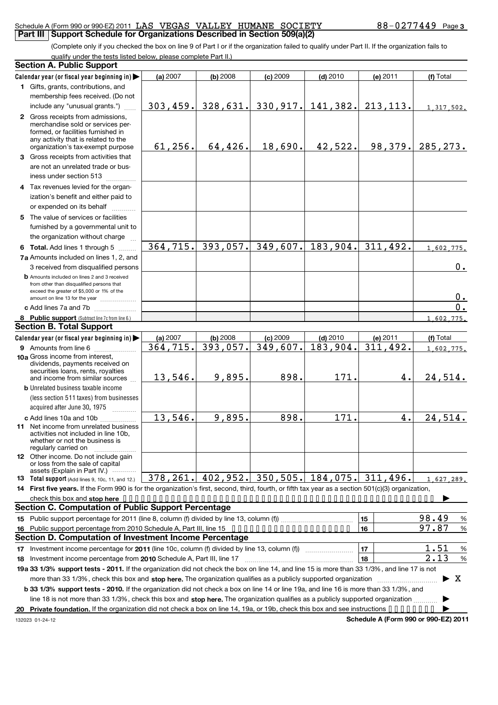#### Schedule A (Form 990 or 990-EZ) 2011 LAS VEGAS VALLEY HUMANE SOCIETY  $88-0277449$  Page **Part III** Support Schedule for Organizations Described in Section 509(a)(2)

(Complete only if you checked the box on line 9 of Part I or if the organization failed to qualify under Part II. If the organization fails to qualify under the tests listed below, please complete Part II.)

|    | <b>Section A. Public Support</b>                                                                                                                    |           |            |            |                                                   |                                      |                         |  |  |
|----|-----------------------------------------------------------------------------------------------------------------------------------------------------|-----------|------------|------------|---------------------------------------------------|--------------------------------------|-------------------------|--|--|
|    | Calendar year (or fiscal year beginning in)                                                                                                         | (a) 2007  | $(b)$ 2008 | $(c)$ 2009 | $(d)$ 2010                                        | (e) 2011                             | (f) Total               |  |  |
|    | 1 Gifts, grants, contributions, and                                                                                                                 |           |            |            |                                                   |                                      |                         |  |  |
|    | membership fees received. (Do not                                                                                                                   |           |            |            |                                                   |                                      |                         |  |  |
|    | include any "unusual grants.")                                                                                                                      | 303, 459. |            |            | 328,631. 330,917. 141,382.                        | 213, 113.                            | 1,317,502.              |  |  |
|    | 2 Gross receipts from admissions,<br>merchandise sold or services per-<br>formed, or facilities furnished in<br>any activity that is related to the |           |            |            |                                                   |                                      |                         |  |  |
|    | organization's tax-exempt purpose                                                                                                                   | 61, 256.  | 64, 426.   | 18,690.    | 42,522.                                           | 98, 379.                             | 285, 273.               |  |  |
|    | 3 Gross receipts from activities that                                                                                                               |           |            |            |                                                   |                                      |                         |  |  |
|    | are not an unrelated trade or bus-<br>iness under section 513                                                                                       |           |            |            |                                                   |                                      |                         |  |  |
|    | 4 Tax revenues levied for the organ-                                                                                                                |           |            |            |                                                   |                                      |                         |  |  |
|    | ization's benefit and either paid to                                                                                                                |           |            |            |                                                   |                                      |                         |  |  |
|    | or expended on its behalf                                                                                                                           |           |            |            |                                                   |                                      |                         |  |  |
|    | 5 The value of services or facilities                                                                                                               |           |            |            |                                                   |                                      |                         |  |  |
|    | furnished by a governmental unit to<br>the organization without charge                                                                              |           |            |            |                                                   |                                      |                         |  |  |
|    | 6 Total. Add lines 1 through 5                                                                                                                      | 364, 715. | 393,057.   | 349,607.   | 183,904.                                          | 311,492.                             | 1,602,775.              |  |  |
|    | 7a Amounts included on lines 1, 2, and                                                                                                              |           |            |            |                                                   |                                      |                         |  |  |
|    | 3 received from disqualified persons                                                                                                                |           |            |            |                                                   |                                      | 0.                      |  |  |
|    | <b>b</b> Amounts included on lines 2 and 3 received<br>from other than disqualified persons that<br>exceed the greater of \$5,000 or 1% of the      |           |            |            |                                                   |                                      | 0.                      |  |  |
|    | amount on line 13 for the year                                                                                                                      |           |            |            |                                                   |                                      | 0.                      |  |  |
|    | c Add lines 7a and 7b                                                                                                                               |           |            |            |                                                   |                                      |                         |  |  |
|    | 8 Public support (Subtract line 7c from line 6.)<br><b>Section B. Total Support</b>                                                                 |           |            |            |                                                   |                                      | 1,602,775.              |  |  |
|    | Calendar year (or fiscal year beginning in)                                                                                                         | (a) 2007  | $(b)$ 2008 | $(c)$ 2009 | $(d)$ 2010                                        | (e) 2011                             | (f) Total               |  |  |
|    | 9 Amounts from line 6                                                                                                                               | 364, 715. | 393,057.   | 349,607.   | 183,904.                                          | 311,492.                             | 1,602,775.              |  |  |
|    | <b>10a</b> Gross income from interest,<br>dividends, payments received on<br>securities loans, rents, royalties<br>and income from similar sources  | 13,546.   | 9,895.     | 898.       | 171.                                              | 4.                                   | 24,514.                 |  |  |
|    | <b>b</b> Unrelated business taxable income<br>(less section 511 taxes) from businesses<br>acquired after June 30, 1975                              |           |            |            |                                                   |                                      |                         |  |  |
|    | c Add lines 10a and 10b                                                                                                                             | 13,546.   | 9,895.     | 898.       | 171.                                              | 4.                                   | 24,514.                 |  |  |
|    | <b>11</b> Net income from unrelated business<br>activities not included in line 10b<br>whether or not the business is<br>regularly carried on       |           |            |            |                                                   |                                      |                         |  |  |
|    | <b>12</b> Other income. Do not include gain<br>or loss from the sale of capital<br>assets (Explain in Part IV.)                                     |           |            |            |                                                   |                                      |                         |  |  |
|    | <b>13</b> Total support (Add lines 9, 10c, 11, and 12.)                                                                                             |           |            |            | 378, 261. 402, 952. 350, 505. 184, 075. 311, 496. |                                      | 1,627,289.              |  |  |
|    | 14 First five years. If the Form 990 is for the organization's first, second, third, fourth, or fifth tax year as a section 501(c)(3) organization, |           |            |            |                                                   |                                      |                         |  |  |
|    |                                                                                                                                                     |           |            |            |                                                   |                                      |                         |  |  |
|    | <b>Section C. Computation of Public Support Percentage</b>                                                                                          |           |            |            |                                                   |                                      |                         |  |  |
|    |                                                                                                                                                     |           |            |            |                                                   | 15                                   | 98.49<br>%              |  |  |
| 16 | Public support percentage from 2010 Schedule A, Part III, line 15                                                                                   |           |            |            |                                                   | 16                                   | 97.87<br>$\frac{9}{6}$  |  |  |
|    | Section D. Computation of Investment Income Percentage                                                                                              |           |            |            |                                                   |                                      |                         |  |  |
|    |                                                                                                                                                     |           |            |            |                                                   | 17                                   | 1.51<br>%               |  |  |
|    |                                                                                                                                                     |           |            |            |                                                   | 18                                   | 2.13<br>%               |  |  |
|    | 19a 33 1/3% support tests - 2011. If the organization did not check the box on line 14, and line 15 is more than 33 1/3%, and line 17 is not        |           |            |            |                                                   |                                      |                         |  |  |
|    | more than 33 1/3%, check this box and stop here. The organization qualifies as a publicly supported organization <i>marroummanness</i>              |           |            |            |                                                   |                                      | $\blacktriangleright$ X |  |  |
|    | b 33 1/3% support tests - 2010. If the organization did not check a box on line 14 or line 19a, and line 16 is more than 33 1/3%, and               |           |            |            |                                                   |                                      |                         |  |  |
|    | line 18 is not more than 33 1/3%, check this box and stop here. The organization qualifies as a publicly supported organization                     |           |            |            |                                                   |                                      |                         |  |  |
|    | 20 Private foundation. If the organization did not check a box on line 14, 19a, or 19b, check this box and see instructions                         |           |            |            |                                                   |                                      |                         |  |  |
|    | 132023 01-24-12                                                                                                                                     |           |            |            |                                                   | Schedule A (Form 990 or 990-EZ) 2011 |                         |  |  |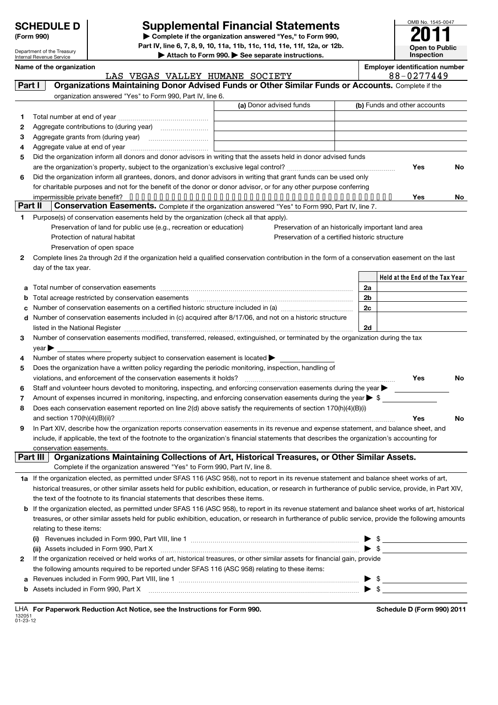|  |  | <b>SCHEDULE D</b> |
|--|--|-------------------|
|--|--|-------------------|

Department of the Treasury

### **Supplemental Financial Statements**

**(Form 990) | Complete if the organization answered "Yes," to Form 990, Part IV, line 6, 7, 8, 9, 10, 11a, 11b, 11c, 11d, 11e, 11f, 12a, or 12b.** Attach to Form 990. See separate instructions.



Internal Revenue Service **Held at the End of the Tax Year Name of the organization Employer identification number** (a) Donor advised funds **1 2 3 4 5 6 Yes No Yes No 1 2 3 4 5 6 7 8 9 a b c d 2a 2b 2c 2d Yes No Yes No 1 a** If the organization elected, as permitted under SFAS 116 (ASC 958), not to report in its revenue statement and balance sheet works of art, **2 b** If the organization elected, as permitted under SFAS 116 (ASC 958), to report in its revenue statement and balance sheet works of art, historical **(i)** Revenues included in Form 990, Part VIII, line 1  $~~$   $~~$   $~~$   $~~$   $~~$   $~~$   $~~$   $~~$   $~~$   $\blacksquare$   $\blacksquare$   $\blacksquare$   $\blacksquare$   $\blacksquare$   $\blacksquare$   $\blacksquare$   $\blacksquare$   $\blacksquare$   $\blacksquare$   $\blacksquare$   $\blacksquare$   $\blacksquare$   $\blacksquare$   $\blacksquare$   $\blacksquare$   $\blacksquare$   $\blacksquare$   $\blacks$ **(ii)** Assets included in Form 990, Part X \$ **a b Part I | Organizations Maintaining Donor Advised Funds or Other Similar Funds or Accounts.** Complete if the organization answered "Yes" to Form 990, Part IV, line 6. (b) Funds and other accounts Total number at end of year ~~~~~~~~~~~~~~~ Aggregate contributions to (during year) \_\_\_\_\_\_\_\_\_\_\_\_\_\_\_\_\_\_ Aggregate grants from (during year) ~~~~~~~~~~ Aggregate value at end of year ~~~~~~~~~~~~~ Did the organization inform all donors and donor advisors in writing that the assets held in donor advised funds are the organization's property, subject to the organization's exclusive legal control? ~~~~~~~~~~~~~~~~~~ Did the organization inform all grantees, donors, and donor advisors in writing that grant funds can be used only for charitable purposes and not for the benefit of the donor or donor advisor, or for any other purpose conferring impermissible private benefit? •••••••••••••••••••••••••••••••••••••••••••• **Part II** Conservation Easements. Complete if the organization answered "Yes" to Form 990, Part IV, line 7. Purpose(s) of conservation easements held by the organization (check all that apply). Preservation of land for public use (e.g., recreation or education) Protection of natural habitat Preservation of open space Preservation of an historically important land area Preservation of a certified historic structure Complete lines 2a through 2d if the organization held a qualified conservation contribution in the form of a conservation easement on the last day of the tax year. Total number of conservation easements ~~~~~~~~~~~~~~~~~~~~~~~~~~~~~~~~ Total acreage restricted by conservation easements ~~~~~~~~~~~~~~~~~~~~~~~~~~ Number of conservation easements on a certified historic structure included in (a) manuminuminuminum Number of conservation easements included in (c) acquired after 8/17/06, and not on a historic structure listed in the National Register ~~~~~~~~~~~~~~~~~~~~~~~~~~~~~~~~~~~~~~ Number of conservation easements modified, transferred, released, extinguished, or terminated by the organization during the tax  $vear \blacktriangleright$ Number of states where property subject to conservation easement is located  $\blacktriangleright$ Does the organization have a written policy regarding the periodic monitoring, inspection, handling of violations, and enforcement of the conservation easements it holds? ~~~~~~~~~~~~~~~~~~~~~~~~~ Staff and volunteer hours devoted to monitoring, inspecting, and enforcing conservation easements during the year  $\blacktriangleright$ Amount of expenses incurred in monitoring, inspecting, and enforcing conservation easements during the year  $\blacktriangleright$  \$ Does each conservation easement reported on line 2(d) above satisfy the requirements of section 170(h)(4)(B)(i) and section 170(h)(4)(B)(ii)? ~~~~~~~~~~~~~~~~~~~~~~~~~~~~~~~~~~~~~~~~~~~~~~ In Part XIV, describe how the organization reports conservation easements in its revenue and expense statement, and balance sheet, and include, if applicable, the text of the footnote to the organization's financial statements that describes the organization's accounting for conservation easements. Complete if the organization answered "Yes" to Form 990, Part IV, line 8. historical treasures, or other similar assets held for public exhibition, education, or research in furtherance of public service, provide, in Part XIV, the text of the footnote to its financial statements that describes these items. treasures, or other similar assets held for public exhibition, education, or research in furtherance of public service, provide the following amounts relating to these items: If the organization received or held works of art, historical treasures, or other similar assets for financial gain, provide the following amounts required to be reported under SFAS 116 (ASC 958) relating to these items: Revenues included in Form 990, Part VIII, line 1 ~~~~~~~~~~~~~~~~~~~~~~~~~~~~~~ | \$ Assets included in Form 990, Part X  $~~$   $~~$   $~~$   $~~$   $~~$   $~~$   $~~$   $~~$   $\bullet$   $~~$   $\bullet$   $~$   $\bullet$   $~$   $\bullet$   $~$   $\bullet$   $~$   $\bullet$   $~$   $\bullet$   $~$   $\bullet$   $~$   $\bullet$   $~$   $\bullet$   $~$   $\bullet$   $~$   $\bullet$   $~$   $\bullet$   $~$   $\bullet$   $~$   $\bullet$   $~$   $\bullet$   $~$   $\bullet$   $~$  Part III | Organizations Maintaining Collections of Art, Historical Treasures, or Other Similar Assets. LAS VEGAS VALLEY HUMANE SOCIETY 88-0277449

|                    |  | LHA For Paperwork Reduction Act Notice, see the Instructions for Form 990 |  |  |
|--------------------|--|---------------------------------------------------------------------------|--|--|
| 132051<br>01-23-12 |  |                                                                           |  |  |

**Schedule D (Form 990) 2011**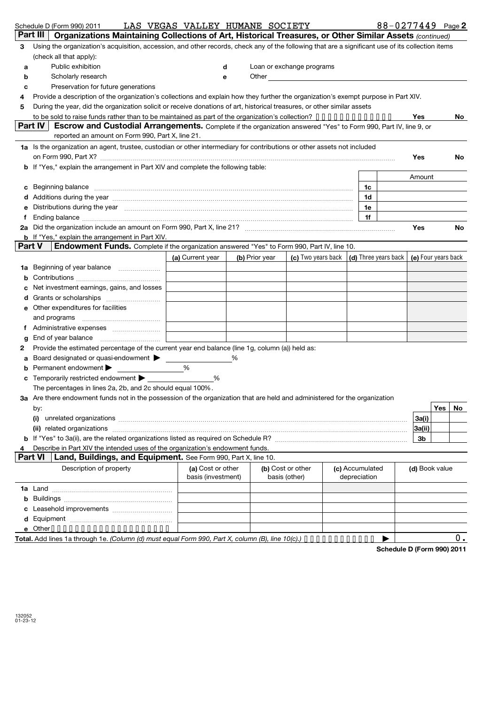|        |          | Schedule D (Form 990) 2011                                                                                                                                                                                                     |  | LAS VEGAS VALLEY HUMANE SOCIETY |   |                |               |                                                                                                                                                                                                                               |                 | 88-0277449 Page 2                            |            |
|--------|----------|--------------------------------------------------------------------------------------------------------------------------------------------------------------------------------------------------------------------------------|--|---------------------------------|---|----------------|---------------|-------------------------------------------------------------------------------------------------------------------------------------------------------------------------------------------------------------------------------|-----------------|----------------------------------------------|------------|
|        | Part III | Organizations Maintaining Collections of Art, Historical Treasures, or Other Similar Assets (continued)                                                                                                                        |  |                                 |   |                |               |                                                                                                                                                                                                                               |                 |                                              |            |
| 3      |          | Using the organization's acquisition, accession, and other records, check any of the following that are a significant use of its collection items                                                                              |  |                                 |   |                |               |                                                                                                                                                                                                                               |                 |                                              |            |
|        |          | (check all that apply):                                                                                                                                                                                                        |  |                                 |   |                |               |                                                                                                                                                                                                                               |                 |                                              |            |
| a      |          | Public exhibition                                                                                                                                                                                                              |  |                                 | d |                |               | Loan or exchange programs                                                                                                                                                                                                     |                 |                                              |            |
| b      |          | Scholarly research                                                                                                                                                                                                             |  |                                 | е |                |               | Other and the contract of the contract of the contract of the contract of the contract of the contract of the contract of the contract of the contract of the contract of the contract of the contract of the contract of the |                 |                                              |            |
| с      |          | Preservation for future generations                                                                                                                                                                                            |  |                                 |   |                |               |                                                                                                                                                                                                                               |                 |                                              |            |
| 4      |          | Provide a description of the organization's collections and explain how they further the organization's exempt purpose in Part XIV.                                                                                            |  |                                 |   |                |               |                                                                                                                                                                                                                               |                 |                                              |            |
| 5      |          | During the year, did the organization solicit or receive donations of art, historical treasures, or other similar assets                                                                                                       |  |                                 |   |                |               |                                                                                                                                                                                                                               |                 |                                              |            |
|        |          | to be sold to raise funds rather than to be maintained as part of the organization's collection? $\cdots$                                                                                                                      |  |                                 |   |                |               |                                                                                                                                                                                                                               |                 | Yes                                          | No.        |
|        | Part IV  | Escrow and Custodial Arrangements. Complete if the organization answered "Yes" to Form 990, Part IV, line 9, or                                                                                                                |  |                                 |   |                |               |                                                                                                                                                                                                                               |                 |                                              |            |
|        |          | reported an amount on Form 990, Part X, line 21.                                                                                                                                                                               |  |                                 |   |                |               |                                                                                                                                                                                                                               |                 |                                              |            |
|        |          | 1a Is the organization an agent, trustee, custodian or other intermediary for contributions or other assets not included                                                                                                       |  |                                 |   |                |               |                                                                                                                                                                                                                               |                 |                                              |            |
|        |          |                                                                                                                                                                                                                                |  |                                 |   |                |               |                                                                                                                                                                                                                               |                 | Yes                                          | No         |
|        |          | <b>b</b> If "Yes," explain the arrangement in Part XIV and complete the following table:                                                                                                                                       |  |                                 |   |                |               |                                                                                                                                                                                                                               |                 |                                              |            |
|        |          |                                                                                                                                                                                                                                |  |                                 |   |                |               |                                                                                                                                                                                                                               |                 | Amount                                       |            |
| c      |          | Beginning balance manufactured and contain an account of the state of the state of the state of the state of the state of the state of the state of the state of the state of the state of the state of the state of the state |  |                                 |   |                |               |                                                                                                                                                                                                                               | 1c              |                                              |            |
|        |          | d Additions during the year manufactured and an annual contract of the year manufactured and a distribution of                                                                                                                 |  |                                 |   |                |               |                                                                                                                                                                                                                               | 1d              |                                              |            |
|        |          | Distributions during the year manufactured and content to the year manufactured and the year manufactured and the year manufactured and the year manufactured and the year manufactured and the state of the state of the stat |  |                                 |   |                |               |                                                                                                                                                                                                                               | 1e              |                                              |            |
|        |          |                                                                                                                                                                                                                                |  |                                 |   |                |               |                                                                                                                                                                                                                               | 1f              |                                              |            |
|        |          |                                                                                                                                                                                                                                |  |                                 |   |                |               |                                                                                                                                                                                                                               |                 | Yes                                          | No.        |
| Part V |          | <b>b</b> If "Yes," explain the arrangement in Part XIV.                                                                                                                                                                        |  |                                 |   |                |               |                                                                                                                                                                                                                               |                 |                                              |            |
|        |          | <b>Endowment Funds.</b> Complete if the organization answered "Yes" to Form 990, Part IV, line 10.                                                                                                                             |  |                                 |   |                |               |                                                                                                                                                                                                                               |                 |                                              |            |
|        |          |                                                                                                                                                                                                                                |  | (a) Current year                |   | (b) Prior year |               | (c) Two years back                                                                                                                                                                                                            |                 | $(d)$ Three years back $(e)$ Four years back |            |
| 1a     |          |                                                                                                                                                                                                                                |  |                                 |   |                |               |                                                                                                                                                                                                                               |                 |                                              |            |
|        |          |                                                                                                                                                                                                                                |  |                                 |   |                |               |                                                                                                                                                                                                                               |                 |                                              |            |
|        |          | Net investment earnings, gains, and losses                                                                                                                                                                                     |  |                                 |   |                |               |                                                                                                                                                                                                                               |                 |                                              |            |
|        |          | Grants or scholarships                                                                                                                                                                                                         |  |                                 |   |                |               |                                                                                                                                                                                                                               |                 |                                              |            |
| е      |          | Other expenditures for facilities                                                                                                                                                                                              |  |                                 |   |                |               |                                                                                                                                                                                                                               |                 |                                              |            |
|        |          |                                                                                                                                                                                                                                |  |                                 |   |                |               |                                                                                                                                                                                                                               |                 |                                              |            |
|        |          |                                                                                                                                                                                                                                |  |                                 |   |                |               |                                                                                                                                                                                                                               |                 |                                              |            |
| g      |          |                                                                                                                                                                                                                                |  |                                 |   |                |               |                                                                                                                                                                                                                               |                 |                                              |            |
| 2      |          | Provide the estimated percentage of the current year end balance (line 1g, column (a)) held as:                                                                                                                                |  |                                 |   |                |               |                                                                                                                                                                                                                               |                 |                                              |            |
| a      |          | Board designated or quasi-endowment >                                                                                                                                                                                          |  | %                               | % |                |               |                                                                                                                                                                                                                               |                 |                                              |            |
| b      |          | Permanent endowment                                                                                                                                                                                                            |  |                                 |   |                |               |                                                                                                                                                                                                                               |                 |                                              |            |
|        |          | Temporarily restricted endowment ▶                                                                                                                                                                                             |  | %                               |   |                |               |                                                                                                                                                                                                                               |                 |                                              |            |
|        |          | The percentages in lines 2a, 2b, and 2c should equal 100%.                                                                                                                                                                     |  |                                 |   |                |               |                                                                                                                                                                                                                               |                 |                                              |            |
|        |          | 3a Are there endowment funds not in the possession of the organization that are held and administered for the organization                                                                                                     |  |                                 |   |                |               |                                                                                                                                                                                                                               |                 |                                              | Yes<br>No. |
|        | by:      |                                                                                                                                                                                                                                |  |                                 |   |                |               |                                                                                                                                                                                                                               |                 | 3a(i)                                        |            |
|        |          |                                                                                                                                                                                                                                |  |                                 |   |                |               |                                                                                                                                                                                                                               |                 | 3a(ii)                                       |            |
|        |          |                                                                                                                                                                                                                                |  |                                 |   |                |               |                                                                                                                                                                                                                               |                 | 3b                                           |            |
|        |          | Describe in Part XIV the intended uses of the organization's endowment funds.                                                                                                                                                  |  |                                 |   |                |               |                                                                                                                                                                                                                               |                 |                                              |            |
|        | Part VI  | Land, Buildings, and Equipment. See Form 990, Part X, line 10.                                                                                                                                                                 |  |                                 |   |                |               |                                                                                                                                                                                                                               |                 |                                              |            |
|        |          | Description of property                                                                                                                                                                                                        |  | (a) Cost or other               |   |                |               | (b) Cost or other                                                                                                                                                                                                             | (c) Accumulated | (d) Book value                               |            |
|        |          |                                                                                                                                                                                                                                |  | basis (investment)              |   |                | basis (other) |                                                                                                                                                                                                                               | depreciation    |                                              |            |
|        |          |                                                                                                                                                                                                                                |  |                                 |   |                |               |                                                                                                                                                                                                                               |                 |                                              |            |
| b      |          |                                                                                                                                                                                                                                |  |                                 |   |                |               |                                                                                                                                                                                                                               |                 |                                              |            |
| c      |          |                                                                                                                                                                                                                                |  |                                 |   |                |               |                                                                                                                                                                                                                               |                 |                                              |            |
| d      |          |                                                                                                                                                                                                                                |  |                                 |   |                |               |                                                                                                                                                                                                                               |                 |                                              |            |
|        |          | e Other                                                                                                                                                                                                                        |  |                                 |   |                |               |                                                                                                                                                                                                                               |                 |                                              |            |
|        |          | Total. Add lines 1a through 1e. (Column (d) must equal Form 990, Part X, column (B), line 10(c).) • • • • • • • • • • • •                                                                                                      |  |                                 |   |                |               |                                                                                                                                                                                                                               |                 |                                              | 0.         |

**Total.** Add lines 1a through 1e. *(Column (d) must equal Form 990, Part X, column (B), line 10(c).)* • • • • • • • • • • • • • • •

**Schedule D (Form 990) 2011**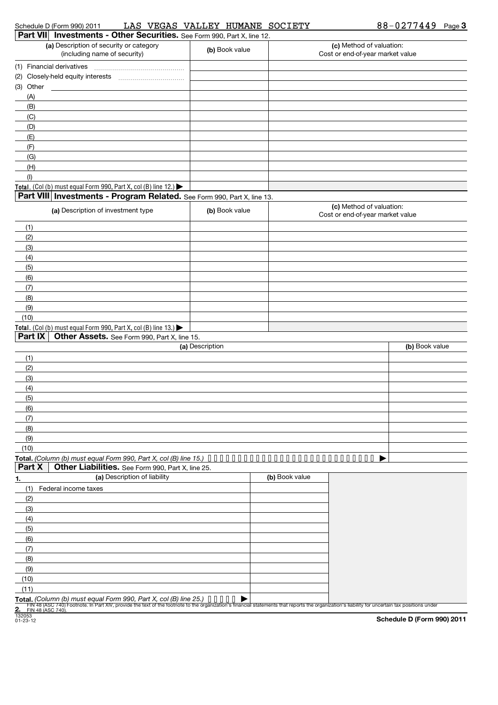| Schedule | · 990)<br>: D (Form | $,201^\circ$ | LAS | VEGAS | VALLEY | <b>HUMANE</b> | SOCIETY | 440 Q<br>n n | Page 3 |
|----------|---------------------|--------------|-----|-------|--------|---------------|---------|--------------|--------|
|          |                     |              |     |       |        |               |         |              |        |

| Part VII Investments - Other Securities. See Form 990, Part X, line 12.                                                                                                                                                                                                                             |                 |                |                                                              |                |
|-----------------------------------------------------------------------------------------------------------------------------------------------------------------------------------------------------------------------------------------------------------------------------------------------------|-----------------|----------------|--------------------------------------------------------------|----------------|
| (a) Description of security or category<br>(including name of security)                                                                                                                                                                                                                             | (b) Book value  |                | (c) Method of valuation:<br>Cost or end-of-year market value |                |
|                                                                                                                                                                                                                                                                                                     |                 |                |                                                              |                |
| (1) Financial derivatives                                                                                                                                                                                                                                                                           |                 |                |                                                              |                |
|                                                                                                                                                                                                                                                                                                     |                 |                |                                                              |                |
| (3) Other                                                                                                                                                                                                                                                                                           |                 |                |                                                              |                |
| (A)                                                                                                                                                                                                                                                                                                 |                 |                |                                                              |                |
| (B)                                                                                                                                                                                                                                                                                                 |                 |                |                                                              |                |
| (C)                                                                                                                                                                                                                                                                                                 |                 |                |                                                              |                |
| (D)                                                                                                                                                                                                                                                                                                 |                 |                |                                                              |                |
| (E)                                                                                                                                                                                                                                                                                                 |                 |                |                                                              |                |
| (F)                                                                                                                                                                                                                                                                                                 |                 |                |                                                              |                |
| (G)                                                                                                                                                                                                                                                                                                 |                 |                |                                                              |                |
| (H)                                                                                                                                                                                                                                                                                                 |                 |                |                                                              |                |
| (1)                                                                                                                                                                                                                                                                                                 |                 |                |                                                              |                |
| Total. (Col (b) must equal Form 990, Part X, col (B) line 12.) $\blacktriangleright$                                                                                                                                                                                                                |                 |                |                                                              |                |
| Part VIII Investments - Program Related. See Form 990, Part X, line 13.                                                                                                                                                                                                                             |                 |                |                                                              |                |
| (a) Description of investment type                                                                                                                                                                                                                                                                  | (b) Book value  |                | (c) Method of valuation:<br>Cost or end-of-year market value |                |
| (1)                                                                                                                                                                                                                                                                                                 |                 |                |                                                              |                |
| (2)                                                                                                                                                                                                                                                                                                 |                 |                |                                                              |                |
| (3)                                                                                                                                                                                                                                                                                                 |                 |                |                                                              |                |
| (4)                                                                                                                                                                                                                                                                                                 |                 |                |                                                              |                |
| (5)                                                                                                                                                                                                                                                                                                 |                 |                |                                                              |                |
| (6)                                                                                                                                                                                                                                                                                                 |                 |                |                                                              |                |
| (7)                                                                                                                                                                                                                                                                                                 |                 |                |                                                              |                |
| (8)                                                                                                                                                                                                                                                                                                 |                 |                |                                                              |                |
| (9)                                                                                                                                                                                                                                                                                                 |                 |                |                                                              |                |
| (10)                                                                                                                                                                                                                                                                                                |                 |                |                                                              |                |
| Total. (Col (b) must equal Form 990, Part X, col (B) line 13.)                                                                                                                                                                                                                                      |                 |                |                                                              |                |
| Part IX   Other Assets. See Form 990, Part X, line 15.                                                                                                                                                                                                                                              |                 |                |                                                              |                |
|                                                                                                                                                                                                                                                                                                     | (a) Description |                |                                                              | (b) Book value |
| (1)                                                                                                                                                                                                                                                                                                 |                 |                |                                                              |                |
| (2)                                                                                                                                                                                                                                                                                                 |                 |                |                                                              |                |
| (3)                                                                                                                                                                                                                                                                                                 |                 |                |                                                              |                |
| (4)                                                                                                                                                                                                                                                                                                 |                 |                |                                                              |                |
| (5)                                                                                                                                                                                                                                                                                                 |                 |                |                                                              |                |
| (6)                                                                                                                                                                                                                                                                                                 |                 |                |                                                              |                |
| (7)                                                                                                                                                                                                                                                                                                 |                 |                |                                                              |                |
| (8)                                                                                                                                                                                                                                                                                                 |                 |                |                                                              |                |
| (9)                                                                                                                                                                                                                                                                                                 |                 |                |                                                              |                |
| (10)                                                                                                                                                                                                                                                                                                |                 |                |                                                              |                |
|                                                                                                                                                                                                                                                                                                     |                 |                |                                                              |                |
| Total. (Column (b) must equal Form 990, Part X, col (B) line 15.) $\cdots \cdots \cdots \cdots$<br>Part X<br>Other Liabilities. See Form 990, Part X, line 25.                                                                                                                                      |                 |                |                                                              |                |
| (a) Description of liability                                                                                                                                                                                                                                                                        |                 | (b) Book value |                                                              |                |
| 1.                                                                                                                                                                                                                                                                                                  |                 |                |                                                              |                |
| (1)<br>Federal income taxes                                                                                                                                                                                                                                                                         |                 |                |                                                              |                |
| (2)                                                                                                                                                                                                                                                                                                 |                 |                |                                                              |                |
| (3)                                                                                                                                                                                                                                                                                                 |                 |                |                                                              |                |
| (4)                                                                                                                                                                                                                                                                                                 |                 |                |                                                              |                |
| (5)                                                                                                                                                                                                                                                                                                 |                 |                |                                                              |                |
| (6)                                                                                                                                                                                                                                                                                                 |                 |                |                                                              |                |
| (7)                                                                                                                                                                                                                                                                                                 |                 |                |                                                              |                |
| (8)                                                                                                                                                                                                                                                                                                 |                 |                |                                                              |                |
| (9)                                                                                                                                                                                                                                                                                                 |                 |                |                                                              |                |
| (10)                                                                                                                                                                                                                                                                                                |                 |                |                                                              |                |
| (11)                                                                                                                                                                                                                                                                                                |                 |                |                                                              |                |
| Total. (Column (b) must equal Form 990, Part X, col (B) line 25.)<br>Fin 48 (ASC 740) Foundel. In Part XIV, provide the text of the footnote to the organization's financial statements that reports the organization's liability for uncertain tax positions under<br>2. FIN 48 (ASC 740). Postage |                 |                |                                                              |                |
|                                                                                                                                                                                                                                                                                                     |                 |                |                                                              |                |

132053 01-23-12

**Schedule D (Form 990) 2011**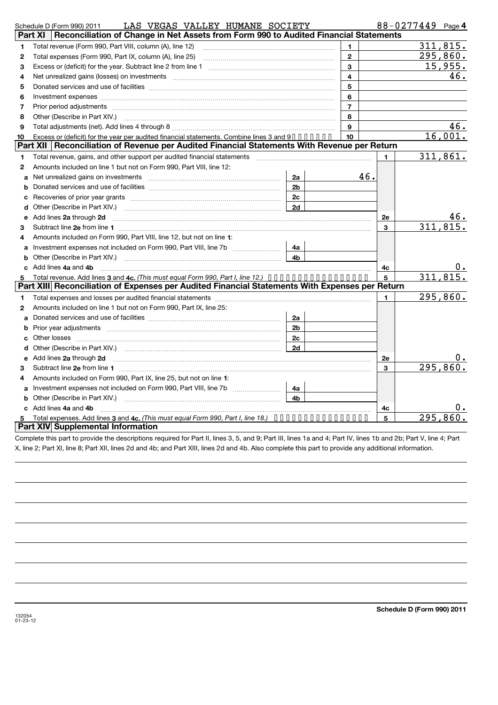|    | LAS VEGAS VALLEY HUMANE SOCIETY<br>Schedule D (Form 990) 2011                                                                                                |                |                         |                | 88-0277449 Page 4 |          |
|----|--------------------------------------------------------------------------------------------------------------------------------------------------------------|----------------|-------------------------|----------------|-------------------|----------|
|    | Reconciliation of Change in Net Assets from Form 990 to Audited Financial Statements<br>Part XI                                                              |                |                         |                |                   |          |
| 1  | Total revenue (Form 990, Part VIII, column (A), line 12)                                                                                                     |                | 1.                      |                |                   | 311,815. |
| 2  | Total expenses (Form 990, Part IX, column (A), line 25)                                                                                                      |                | $\mathbf{2}$            |                |                   | 295,860. |
| З  |                                                                                                                                                              |                | 3                       |                |                   | 15,955.  |
| 4  |                                                                                                                                                              |                | $\overline{\mathbf{4}}$ |                |                   | 46.      |
| 5  |                                                                                                                                                              |                | 5                       |                |                   |          |
| 6  |                                                                                                                                                              |                | 6                       |                |                   |          |
| 7  |                                                                                                                                                              |                | $\overline{7}$          |                |                   |          |
| 8  | Other (Describe in Part XIV.)                                                                                                                                |                | 8                       |                |                   |          |
| 9  |                                                                                                                                                              |                | 9                       |                |                   | 46.      |
| 10 | Excess or (deficit) for the year per audited financial statements. Combine lines 3 and 9.                                                                    |                | 10                      |                |                   | 16,001.  |
|    | Part XII   Reconciliation of Revenue per Audited Financial Statements With Revenue per Return                                                                |                |                         |                |                   |          |
| 1  | Total revenue, gains, and other support per audited financial statements [111] [11] Total revenue, gains, and other support per audited financial statements |                |                         | $\blacksquare$ |                   | 311,861. |
| 2  | Amounts included on line 1 but not on Form 990, Part VIII, line 12:                                                                                          |                |                         |                |                   |          |
| a  |                                                                                                                                                              | 2a             | 46.                     |                |                   |          |
| b  |                                                                                                                                                              | 2 <sub>b</sub> |                         |                |                   |          |
| c  |                                                                                                                                                              | 2c             |                         |                |                   |          |
| d  |                                                                                                                                                              | 2d             |                         |                |                   |          |
| е  | Add lines 2a through 2d                                                                                                                                      |                |                         | 2e             |                   | 46.      |
| З  |                                                                                                                                                              |                |                         | 3              |                   | 311, 815 |
| 4  | Amounts included on Form 990, Part VIII, line 12, but not on line 1:                                                                                         |                |                         |                |                   |          |
|    |                                                                                                                                                              | 4a             |                         |                |                   |          |
| b  | Other (Describe in Part XIV.) <b>Construction</b> (Described in Part XIV.)                                                                                   | 4 <sub>h</sub> |                         |                |                   |          |
|    | c Add lines 4a and 4b                                                                                                                                        |                |                         | 4c             |                   |          |
| 5  | Total revenue. Add lines 3 and 4c. (This must equal Form 990, Part I, line 12.)                                                                              |                |                         | 5              |                   | 311,815. |
|    | Part XIII Reconciliation of Expenses per Audited Financial Statements With Expenses per Return                                                               |                |                         |                |                   |          |
| 1  |                                                                                                                                                              |                |                         | 1.             |                   | 295,860. |
| 2  | Amounts included on line 1 but not on Form 990, Part IX, line 25:                                                                                            |                |                         |                |                   |          |
| a  |                                                                                                                                                              | 2a             |                         |                |                   |          |
| b  |                                                                                                                                                              | 2 <sub>b</sub> |                         |                |                   |          |
| c  |                                                                                                                                                              | 2c             |                         |                |                   |          |
| d  |                                                                                                                                                              | 2d             |                         |                |                   |          |
| е  | Add lines 2a through 2d                                                                                                                                      |                |                         | 2e             |                   |          |
| 3  |                                                                                                                                                              |                |                         | 3              |                   | 295,860. |
| 4  | Amounts included on Form 990, Part IX, line 25, but not on line 1:                                                                                           |                |                         |                |                   |          |
| a  |                                                                                                                                                              | 4a             |                         |                |                   |          |
| b  |                                                                                                                                                              | 4b             |                         |                |                   |          |
|    | c Add lines 4a and 4b                                                                                                                                        |                |                         | 4с             |                   |          |
| 5  | Total expenses. Add lines 3 and 4c, (This must equal Form 990, Part I, line 18.) $\cdots \cdots \cdots \cdots \cdots$                                        |                |                         | 5              | 295.              | 86       |
|    | Part XIV Supplemental Information                                                                                                                            |                |                         |                |                   |          |

Complete this part to provide the descriptions required for Part II, lines 3, 5, and 9; Part III, lines 1a and 4; Part IV, lines 1b and 2b; Part V, line 4; Part X, line 2; Part XI, line 8; Part XII, lines 2d and 4b; and Part XIII, lines 2d and 4b. Also complete this part to provide any additional information.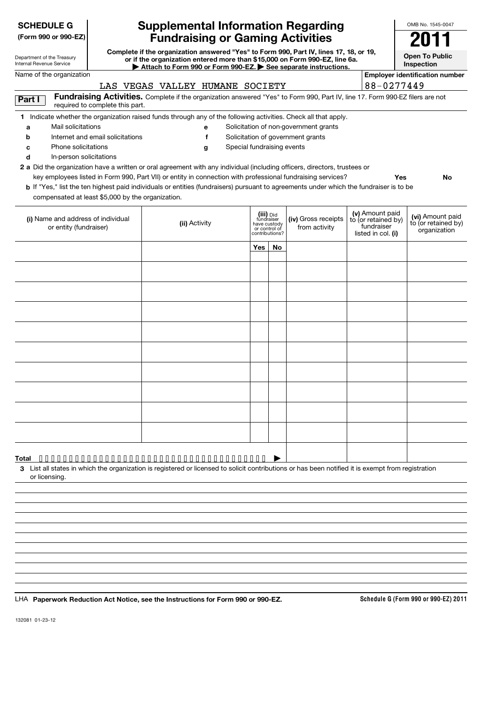| <b>SCHEDULE G</b>                                                                        |                                  | <b>Supplemental Information Regarding</b>                                                                                                                                                                                                                                                                                                                                                                                                                                                                                                          |                                                                            |    |                                                                            |                                                                            | OMB No. 1545-0047                                       |
|------------------------------------------------------------------------------------------|----------------------------------|----------------------------------------------------------------------------------------------------------------------------------------------------------------------------------------------------------------------------------------------------------------------------------------------------------------------------------------------------------------------------------------------------------------------------------------------------------------------------------------------------------------------------------------------------|----------------------------------------------------------------------------|----|----------------------------------------------------------------------------|----------------------------------------------------------------------------|---------------------------------------------------------|
| (Form 990 or 990-EZ)                                                                     |                                  | <b>Fundraising or Gaming Activities</b>                                                                                                                                                                                                                                                                                                                                                                                                                                                                                                            |                                                                            |    |                                                                            |                                                                            | 2011                                                    |
| Department of the Treasury<br>Internal Revenue Service                                   |                                  | Complete if the organization answered "Yes" to Form 990, Part IV, lines 17, 18, or 19,<br>or if the organization entered more than \$15,000 on Form 990-EZ, line 6a.<br>Attach to Form 990 or Form 990-EZ. See separate instructions.                                                                                                                                                                                                                                                                                                              |                                                                            |    |                                                                            |                                                                            | <b>Open To Public</b><br>Inspection                     |
| Name of the organization                                                                 |                                  |                                                                                                                                                                                                                                                                                                                                                                                                                                                                                                                                                    |                                                                            |    |                                                                            |                                                                            | <b>Employer identification number</b>                   |
|                                                                                          |                                  | LAS VEGAS VALLEY HUMANE SOCIETY                                                                                                                                                                                                                                                                                                                                                                                                                                                                                                                    |                                                                            |    |                                                                            | 88-0277449                                                                 |                                                         |
| Part I                                                                                   | required to complete this part.  | Fundraising Activities. Complete if the organization answered "Yes" to Form 990, Part IV, line 17. Form 990-EZ filers are not                                                                                                                                                                                                                                                                                                                                                                                                                      |                                                                            |    |                                                                            |                                                                            |                                                         |
| Mail solicitations<br>a<br>n<br>Phone solicitations<br>с<br>In-person solicitations<br>d | Internet and email solicitations | 1 Indicate whether the organization raised funds through any of the following activities. Check all that apply.<br>е<br>f<br>Special fundraising events<br>g<br>2 a Did the organization have a written or oral agreement with any individual (including officers, directors, trustees or<br>key employees listed in Form 990, Part VII) or entity in connection with professional fundraising services?<br>b If "Yes," list the ten highest paid individuals or entities (fundraisers) pursuant to agreements under which the fundraiser is to be |                                                                            |    | Solicitation of non-government grants<br>Solicitation of government grants |                                                                            | Yes<br>No                                               |
| compensated at least \$5,000 by the organization.                                        |                                  |                                                                                                                                                                                                                                                                                                                                                                                                                                                                                                                                                    |                                                                            |    |                                                                            |                                                                            |                                                         |
| (i) Name and address of individual<br>or entity (fundraiser)                             |                                  | (ii) Activity                                                                                                                                                                                                                                                                                                                                                                                                                                                                                                                                      | (iii) Did<br>fundraiser<br>have custody<br>or control of<br>contributions? |    | (iv) Gross receipts<br>from activity                                       | (v) Amount paid<br>to (or retained by)<br>fundraiser<br>listed in col. (i) | (vi) Amount paid<br>to (or retained by)<br>organization |
|                                                                                          |                                  |                                                                                                                                                                                                                                                                                                                                                                                                                                                                                                                                                    | Yes                                                                        | No |                                                                            |                                                                            |                                                         |
|                                                                                          |                                  |                                                                                                                                                                                                                                                                                                                                                                                                                                                                                                                                                    |                                                                            |    |                                                                            |                                                                            |                                                         |
|                                                                                          |                                  |                                                                                                                                                                                                                                                                                                                                                                                                                                                                                                                                                    |                                                                            |    |                                                                            |                                                                            |                                                         |
|                                                                                          |                                  |                                                                                                                                                                                                                                                                                                                                                                                                                                                                                                                                                    |                                                                            |    |                                                                            |                                                                            |                                                         |
|                                                                                          |                                  |                                                                                                                                                                                                                                                                                                                                                                                                                                                                                                                                                    |                                                                            |    |                                                                            |                                                                            |                                                         |
|                                                                                          |                                  |                                                                                                                                                                                                                                                                                                                                                                                                                                                                                                                                                    |                                                                            |    |                                                                            |                                                                            |                                                         |
|                                                                                          |                                  |                                                                                                                                                                                                                                                                                                                                                                                                                                                                                                                                                    |                                                                            |    |                                                                            |                                                                            |                                                         |
|                                                                                          |                                  |                                                                                                                                                                                                                                                                                                                                                                                                                                                                                                                                                    |                                                                            |    |                                                                            |                                                                            |                                                         |
|                                                                                          |                                  |                                                                                                                                                                                                                                                                                                                                                                                                                                                                                                                                                    |                                                                            |    |                                                                            |                                                                            |                                                         |
|                                                                                          |                                  |                                                                                                                                                                                                                                                                                                                                                                                                                                                                                                                                                    |                                                                            |    |                                                                            |                                                                            |                                                         |
|                                                                                          |                                  |                                                                                                                                                                                                                                                                                                                                                                                                                                                                                                                                                    |                                                                            |    |                                                                            |                                                                            |                                                         |
|                                                                                          |                                  |                                                                                                                                                                                                                                                                                                                                                                                                                                                                                                                                                    |                                                                            |    |                                                                            |                                                                            |                                                         |
| or licensing.                                                                            |                                  | 3 List all states in which the organization is registered or licensed to solicit contributions or has been notified it is exempt from registration                                                                                                                                                                                                                                                                                                                                                                                                 |                                                                            |    |                                                                            |                                                                            |                                                         |
|                                                                                          |                                  |                                                                                                                                                                                                                                                                                                                                                                                                                                                                                                                                                    |                                                                            |    |                                                                            |                                                                            |                                                         |
|                                                                                          |                                  |                                                                                                                                                                                                                                                                                                                                                                                                                                                                                                                                                    |                                                                            |    |                                                                            |                                                                            |                                                         |
|                                                                                          |                                  |                                                                                                                                                                                                                                                                                                                                                                                                                                                                                                                                                    |                                                                            |    |                                                                            |                                                                            |                                                         |
|                                                                                          |                                  |                                                                                                                                                                                                                                                                                                                                                                                                                                                                                                                                                    |                                                                            |    |                                                                            |                                                                            |                                                         |
|                                                                                          |                                  |                                                                                                                                                                                                                                                                                                                                                                                                                                                                                                                                                    |                                                                            |    |                                                                            |                                                                            |                                                         |
|                                                                                          |                                  |                                                                                                                                                                                                                                                                                                                                                                                                                                                                                                                                                    |                                                                            |    |                                                                            |                                                                            |                                                         |
|                                                                                          |                                  |                                                                                                                                                                                                                                                                                                                                                                                                                                                                                                                                                    |                                                                            |    |                                                                            |                                                                            |                                                         |
|                                                                                          |                                  | LHA Paperwork Reduction Act Notice, see the Instructions for Form 990 or 990-EZ.                                                                                                                                                                                                                                                                                                                                                                                                                                                                   |                                                                            |    |                                                                            |                                                                            | Schedule G (Form 990 or 990-EZ) 2011                    |

132081 01-23-12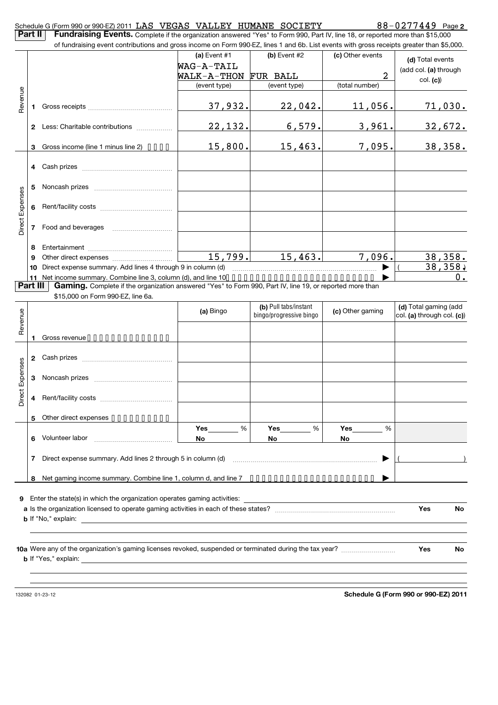| Part II         |              | Schedule G (Form 990 or 990-EZ) 2011 LAS VEGAS VALLEY HUMANE SOCIETY<br>Fundraising Events. Complete if the organization answered "Yes" to Form 990, Part IV, line 18, or reported more than \$15,000 |                |                                                  |                  | $88 - 0277449$ Page 2                               |
|-----------------|--------------|-------------------------------------------------------------------------------------------------------------------------------------------------------------------------------------------------------|----------------|--------------------------------------------------|------------------|-----------------------------------------------------|
|                 |              | of fundraising event contributions and gross income on Form 990-EZ, lines 1 and 6b. List events with gross receipts greater than \$5,000.                                                             |                |                                                  |                  |                                                     |
|                 |              |                                                                                                                                                                                                       | (a) Event $#1$ | (b) Event #2                                     | (c) Other events | (d) Total events                                    |
|                 |              |                                                                                                                                                                                                       | WAG-A-TAIL     |                                                  |                  | (add col. (a) through                               |
|                 |              |                                                                                                                                                                                                       | WALK-A-THON    | FUR BALL                                         | 2                | col. (c))                                           |
|                 |              |                                                                                                                                                                                                       | (event type)   | (event type)                                     | (total number)   |                                                     |
| Revenue         | 1            |                                                                                                                                                                                                       | 37,932.        | 22,042.                                          | 11,056.          | <u>71,030.</u>                                      |
|                 |              | 2 Less: Charitable contributions                                                                                                                                                                      | 22, 132.       | 6,579.                                           | 3,961.           | 32,672.                                             |
|                 | 3            | Gross income (line 1 minus line 2) $\bullet \bullet \bullet \bullet$                                                                                                                                  | 15,800.        | 15,463.                                          | 7,095.           | 38,358.                                             |
|                 | 4            |                                                                                                                                                                                                       |                |                                                  |                  |                                                     |
|                 | 5            |                                                                                                                                                                                                       |                |                                                  |                  |                                                     |
| Direct Expenses | 6            |                                                                                                                                                                                                       |                |                                                  |                  |                                                     |
|                 | 7            |                                                                                                                                                                                                       |                |                                                  |                  |                                                     |
|                 | 8            |                                                                                                                                                                                                       |                |                                                  |                  |                                                     |
|                 | 9            |                                                                                                                                                                                                       | 15,799.        | 15,463.                                          | 7,096.           | 38,358.                                             |
|                 | 10           | Direct expense summary. Add lines 4 through 9 in column (d)                                                                                                                                           |                |                                                  |                  | 38, 358,                                            |
|                 | 11           | Net income summary. Combine line 3, column (d), and line 10.                                                                                                                                          |                |                                                  |                  | $0$ .                                               |
| Part III        |              | Gaming. Complete if the organization answered "Yes" to Form 990, Part IV, line 19, or reported more than                                                                                              |                |                                                  |                  |                                                     |
|                 |              | \$15,000 on Form 990-EZ, line 6a.                                                                                                                                                                     |                |                                                  |                  |                                                     |
|                 |              |                                                                                                                                                                                                       | (a) Bingo      | (b) Pull tabs/instant<br>bingo/progressive bingo | (c) Other gaming | (d) Total gaming (add<br>col. (a) through col. (c)) |
| Revenue         |              |                                                                                                                                                                                                       |                |                                                  |                  |                                                     |
|                 |              | Gross revenue                                                                                                                                                                                         |                |                                                  |                  |                                                     |
|                 |              |                                                                                                                                                                                                       |                |                                                  |                  |                                                     |
|                 | $\mathbf{2}$ | Cash prizes [11] Cash prizes [11] Cash prizes [11] Cash prizes [11] [11] Casa Divideo [11] [11] 2012                                                                                                  |                |                                                  |                  |                                                     |
|                 |              |                                                                                                                                                                                                       |                |                                                  |                  |                                                     |
| Expenses        | 3            |                                                                                                                                                                                                       |                |                                                  |                  |                                                     |
| ect<br>à        |              |                                                                                                                                                                                                       |                |                                                  |                  |                                                     |
|                 | 5.           | Other direct expenses                                                                                                                                                                                 |                |                                                  |                  |                                                     |
|                 |              |                                                                                                                                                                                                       | %<br>Yes       | %<br>Yes                                         | %<br>Yes         |                                                     |
|                 | 6            | Volunteer labor                                                                                                                                                                                       | No             | No.                                              | No.              |                                                     |
|                 | 7            | Direct expense summary. Add lines 2 through 5 in column (d)                                                                                                                                           |                |                                                  |                  |                                                     |
|                 | 8            | Net gaming income summary. Combine line 1, column d, and line 7 •••••••••••••••••••••••                                                                                                               |                |                                                  |                  |                                                     |
|                 |              |                                                                                                                                                                                                       |                |                                                  |                  |                                                     |
| 9               |              | Enter the state(s) in which the organization operates gaming activities:                                                                                                                              |                |                                                  |                  |                                                     |
|                 |              |                                                                                                                                                                                                       |                |                                                  |                  | <b>Yes</b><br>No                                    |
|                 |              |                                                                                                                                                                                                       |                |                                                  |                  |                                                     |
|                 |              |                                                                                                                                                                                                       |                |                                                  |                  |                                                     |
|                 |              |                                                                                                                                                                                                       |                |                                                  |                  |                                                     |
|                 |              | 10a Were any of the organization's gaming licenses revoked, suspended or terminated during the tax year?                                                                                              |                |                                                  |                  | Yes<br>No                                           |
|                 |              |                                                                                                                                                                                                       |                |                                                  |                  |                                                     |
|                 |              |                                                                                                                                                                                                       |                |                                                  |                  |                                                     |
|                 |              |                                                                                                                                                                                                       |                |                                                  |                  |                                                     |

132082 01-23-12

**Schedule G (Form 990 or 990-EZ) 2011**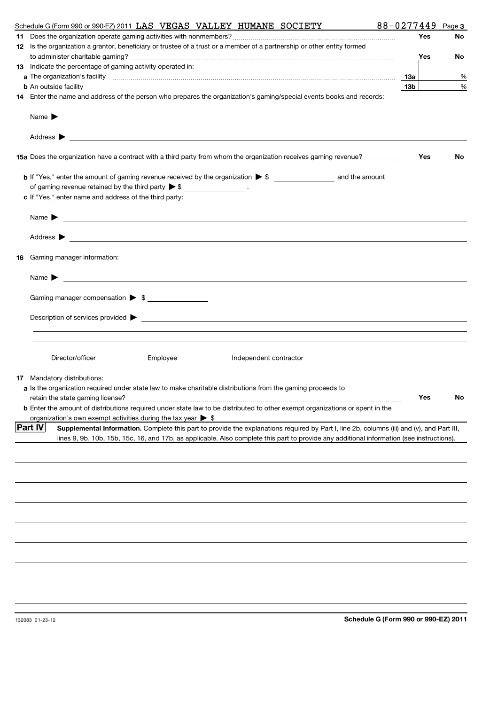|    | 88-0277449<br>Schedule G (Form 990 or 990-EZ) 2011 LAS VEGAS VALLEY HUMANE SOCIETY                                                                                                                                  |                 |     | Page 3 |
|----|---------------------------------------------------------------------------------------------------------------------------------------------------------------------------------------------------------------------|-----------------|-----|--------|
|    |                                                                                                                                                                                                                     |                 | Yes | No     |
|    | 12 Is the organization a grantor, beneficiary or trustee of a trust or a member of a partnership or other entity formed                                                                                             |                 |     |        |
|    |                                                                                                                                                                                                                     |                 | Yes | No     |
|    | 13 Indicate the percentage of gaming activity operated in:                                                                                                                                                          |                 |     |        |
|    |                                                                                                                                                                                                                     | 1За             |     | %      |
|    | <b>b</b> An outside facility <i>www.communicality.communicality.communicality www.communicality.communicality.communicality</i>                                                                                     | 13 <sub>b</sub> |     | %      |
|    | 14 Enter the name and address of the person who prepares the organization's gaming/special events books and records:                                                                                                |                 |     |        |
|    |                                                                                                                                                                                                                     |                 |     |        |
|    | Name $\blacktriangleright$<br><u> 1999 - Johann Harry Harry Harry Harry Harry Harry Harry Harry Harry Harry Harry Harry Harry Harry Harry Harry H</u>                                                               |                 |     |        |
|    |                                                                                                                                                                                                                     |                 |     |        |
|    | 15a Does the organization have a contract with a third party from whom the organization receives gaming revenue?                                                                                                    |                 | Yes | No     |
|    |                                                                                                                                                                                                                     |                 |     |        |
|    | of gaming revenue retained by the third party $\triangleright$ \$ _________________.                                                                                                                                |                 |     |        |
|    | c If "Yes," enter name and address of the third party:                                                                                                                                                              |                 |     |        |
|    |                                                                                                                                                                                                                     |                 |     |        |
|    | Name $\blacktriangleright$                                                                                                                                                                                          |                 |     |        |
|    |                                                                                                                                                                                                                     |                 |     |        |
| 16 | Gaming manager information:                                                                                                                                                                                         |                 |     |        |
|    | <u> 1989 - Johann Barbara, martin amerikan basal dan berasal dan berasal dalam basal dan berasal dan berasal dan</u><br>Name $\blacktriangleright$                                                                  |                 |     |        |
|    |                                                                                                                                                                                                                     |                 |     |        |
|    | Gaming manager compensation > \$                                                                                                                                                                                    |                 |     |        |
|    |                                                                                                                                                                                                                     |                 |     |        |
|    |                                                                                                                                                                                                                     |                 |     |        |
|    |                                                                                                                                                                                                                     |                 |     |        |
|    | Director/officer<br>Employee<br>Independent contractor                                                                                                                                                              |                 |     |        |
|    |                                                                                                                                                                                                                     |                 |     |        |
|    | <b>17</b> Mandatory distributions:                                                                                                                                                                                  |                 |     |        |
|    | a Is the organization required under state law to make charitable distributions from the gaming proceeds to                                                                                                         |                 | Yes |        |
|    | retain the state gaming license?                                                                                                                                                                                    |                 |     | N٥     |
|    | <b>b</b> Enter the amount of distributions required under state law to be distributed to other exempt organizations or spent in the<br>organization's own exempt activities during the tax year $\triangleright$ \$ |                 |     |        |
|    | <b>Part IV</b><br>Supplemental Information. Complete this part to provide the explanations required by Part I, line 2b, columns (iii) and (v), and Part III,                                                        |                 |     |        |
|    | lines 9, 9b, 10b, 15b, 15c, 16, and 17b, as applicable. Also complete this part to provide any additional information (see instructions).                                                                           |                 |     |        |
|    |                                                                                                                                                                                                                     |                 |     |        |
|    |                                                                                                                                                                                                                     |                 |     |        |
|    |                                                                                                                                                                                                                     |                 |     |        |
|    |                                                                                                                                                                                                                     |                 |     |        |
|    |                                                                                                                                                                                                                     |                 |     |        |
|    |                                                                                                                                                                                                                     |                 |     |        |
|    |                                                                                                                                                                                                                     |                 |     |        |
|    |                                                                                                                                                                                                                     |                 |     |        |
|    |                                                                                                                                                                                                                     |                 |     |        |
|    |                                                                                                                                                                                                                     |                 |     |        |
|    |                                                                                                                                                                                                                     |                 |     |        |
|    |                                                                                                                                                                                                                     |                 |     |        |
|    | Schedule G (Form 990 or 990-EZ) 2011<br>132083 01-23-12                                                                                                                                                             |                 |     |        |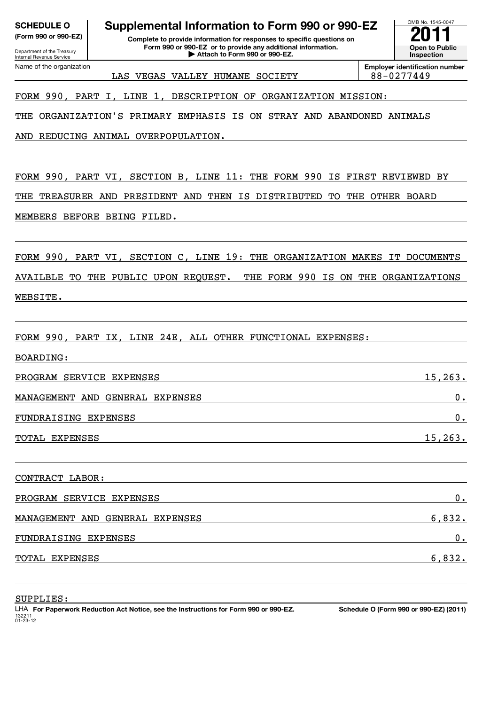| <b>SCHEDULE O</b> |  |
|-------------------|--|
|                   |  |

Department of the Treasury Internal Revenue Service Name of the organization

## **Supplemental Information to Form 990 or 990-EZ**

**(Form 990 or 990-EZ) Complete to provide information for responses to specific questions on Form 990 or 990-EZ or to provide any additional information. | Attach to Form 990 or 990-EZ.**

LAS VEGAS VALLEY HUMANE SOCIETY  $|88-0277449\rangle$ 

**Employer identification number**

OMB No. 1545-0047

**Open to Public Inspection**

#### FORM 990, PART I, LINE 1, DESCRIPTION OF ORGANIZATION MISSION:

THE ORGANIZATION'S PRIMARY EMPHASIS IS ON STRAY AND ABANDONED ANIMALS

AND REDUCING ANIMAL OVERPOPULATION.

FORM 990, PART VI, SECTION B, LINE 11: THE FORM 990 IS FIRST REVIEWED BY

THE TREASURER AND PRESIDENT AND THEN IS DISTRIBUTED TO THE OTHER BOARD

MEMBERS BEFORE BEING FILED.

FORM 990, PART VI, SECTION C, LINE 19: THE ORGANIZATION MAKES IT DOCUMENTS AVAILBLE TO THE PUBLIC UPON REQUEST. THE FORM 990 IS ON THE ORGANIZATIONS WEBSITE.

FORM 990, PART IX, LINE 24E, ALL OTHER FUNCTIONAL EXPENSES:

BOARDING: PROGRAM SERVICE EXPENSES 15, 263. MANAGEMENT AND GENERAL EXPENSES 0. FUNDRAISING EXPENSES 0. TOTAL EXPENSES 15,263. CONTRACT LABOR: PROGRAM SERVICE EXPENSES **DELL'S EN EXECUTAVE EN ENGLISHED A** control of the control of the control of the control of the control of the control of the control of the control of the control of the control of the control of MANAGEMENT AND GENERAL EXPENSES 6,832. FUNDRAISING EXPENSES 0. TOTAL EXPENSES 6,832.

SUPPLIES:

132211 01-23-12 **For Paperwork Reduction Act Notice, see the Instructions for Form 990 or 990-EZ. Schedule O (Form 990 or 990-EZ) (2011)** LHA